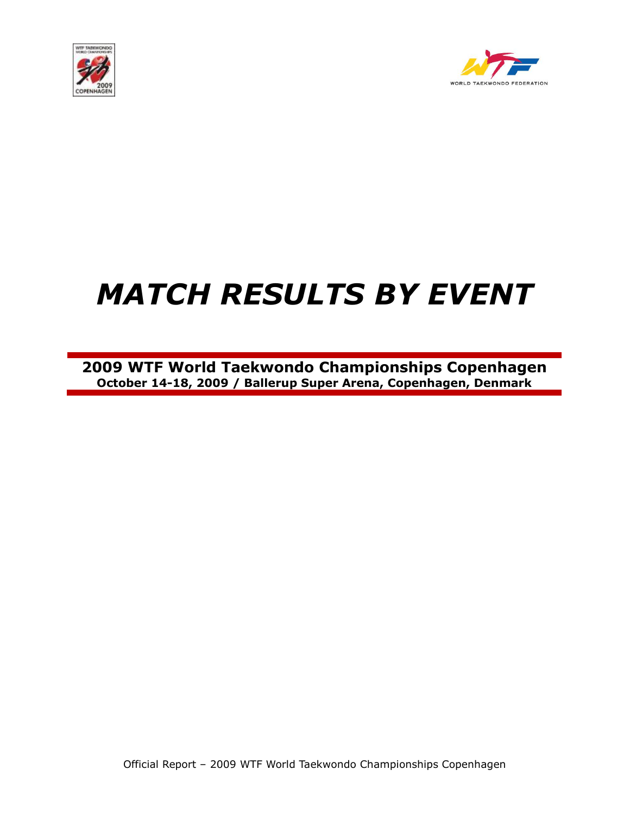



# *MATCH RESULTS BY EVENT*

**2009 WTF World Taekwondo Championships Copenhagen October 14-18, 2009 / Ballerup Super Arena, Copenhagen, Denmark**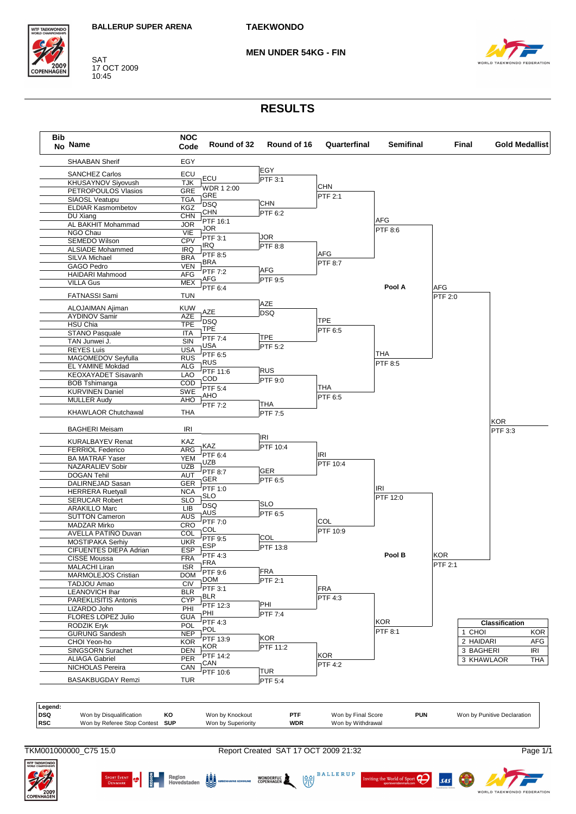

SAT<br>17 OCT 2009<br>10:45

**MEN UNDER 54KG - FIN** 



## **RESULTS**

| No Name                    | <b>NOC</b><br>Code | Round of 32    | Round of 16           | Quarterfinal   | <b>Semifinal</b> |                | Final      | <b>Gold Medallist</b> |                                        |
|----------------------------|--------------------|----------------|-----------------------|----------------|------------------|----------------|------------|-----------------------|----------------------------------------|
| <b>SHAABAN Sherif</b>      | EGY                |                |                       |                |                  |                |            |                       |                                        |
| <b>SANCHEZ Carlos</b>      | ECU                |                | EGY                   |                |                  |                |            |                       |                                        |
| KHUSAYNOV Siyovush         | <b>TJK</b>         | ECU            | PTF 3:1               |                |                  |                |            |                       |                                        |
| PETROPOULOS Vlasios        | <b>GRE</b>         | WDR 1 2:00     |                       | CHN            |                  |                |            |                       |                                        |
| SIAOSL Veatupu             | <b>TGA</b>         | GRE            |                       | PTF 2:1        |                  |                |            |                       |                                        |
| <b>ELDIAR Kasmombetov</b>  | <b>KGZ</b>         | <b>DSQ</b>     | <b>CHN</b>            |                |                  |                |            |                       |                                        |
| DU Xiang                   | <b>CHN</b>         | CHN            | PTF 6:2               |                |                  |                |            |                       |                                        |
| AL BAKHIT Mohammad         | <b>JOR</b>         | PTF 16:1       |                       |                | AFG              |                |            |                       |                                        |
| NGO Chau                   | VIE                | JOR            |                       |                | PTF 8:6          |                |            |                       |                                        |
| SEMEDO Wilson              | <b>CPV</b>         | PTF 3:1        | JOR                   |                |                  |                |            |                       |                                        |
| <b>ALSIADE Mohammed</b>    | <b>IRQ</b>         | IRQ            | $\overline{P}$ TF 8:8 |                |                  |                |            |                       |                                        |
| SILVA Michael              | <b>BRA</b>         | PTF 8:5        |                       | AFG            |                  |                |            |                       |                                        |
| GAGO Pedro                 | <b>VEN</b>         | BRA            |                       | <b>PTF 8:7</b> |                  |                |            |                       |                                        |
| <b>HAIDARI Mahmood</b>     | <b>AFG</b>         | <b>PTF 7:2</b> | AFG                   |                |                  |                |            |                       |                                        |
| <b>VILLA Gus</b>           | <b>MEX</b>         | AFG            | PTF 9:5               |                |                  |                |            |                       |                                        |
|                            |                    | PTF 6:4        |                       |                | Pool A           | AFG            |            |                       |                                        |
| <b>FATNASSI Sami</b>       | <b>TUN</b>         |                |                       |                |                  | <b>PTF 2:0</b> |            |                       |                                        |
| ALOJAIMAN Ajiman           | <b>KUW</b>         |                | AZE                   |                |                  |                |            |                       |                                        |
| <b>AYDINOV Samir</b>       | AZE                | AZE            | <b>DSQ</b>            |                |                  |                |            |                       |                                        |
| HSU Chia                   | <b>TPE</b>         | <b>DSQ</b>     |                       | <b>TPE</b>     |                  |                |            |                       |                                        |
| <b>STANO Pasquale</b>      | <b>ITA</b>         | TPE            |                       | PTF 6:5        |                  |                |            |                       |                                        |
| TAN Junwei J.              | SIN                | PTF 7:4        | <b>TPE</b>            |                |                  |                |            |                       |                                        |
| <b>REYES Luis</b>          | USA                | USA            | PTF 5:2               |                |                  |                |            |                       |                                        |
|                            | <b>RUS</b>         | PTF 6:5        |                       |                | THA              |                |            |                       |                                        |
| MAGOMEDOV Seyfulla         |                    | <b>RUS</b>     |                       |                | PTF 8:5          |                |            |                       |                                        |
| EL YAMINE Mokdad           | <b>ALG</b>         | PTF 11:6       | <b>RUS</b>            |                |                  |                |            |                       |                                        |
| KEOXAYADET Sisavanh        | LAO                | <b>COD</b>     | PTF 9:0               |                |                  |                |            |                       |                                        |
| <b>BOB Tshimanga</b>       | COD                | PTF 5:4        |                       | THA            |                  |                |            |                       |                                        |
| <b>KURVINEN Daniel</b>     | SWE                | AHO            |                       | PTF 6:5        |                  |                |            |                       |                                        |
| <b>MULLER Audy</b>         | AHO                | PTF 7:2        | THA                   |                |                  |                |            |                       |                                        |
| <b>KHAWLAOR Chutchawal</b> | <b>THA</b>         |                | PTF 7:5               |                |                  |                |            |                       |                                        |
| <b>BAGHERI Meisam</b>      | IRI                |                |                       |                |                  |                |            | KOR<br>PTF 3:3        |                                        |
| <b>KURALBAYEV Renat</b>    | KAZ                |                | <b>IRI</b>            |                |                  |                |            |                       |                                        |
| <b>FERRIOL Federico</b>    | ARG                | KAZ            | PTF 10:4              |                |                  |                |            |                       |                                        |
| <b>BA MATRAF Yaser</b>     | <b>YEM</b>         | PTF 6:4        |                       | IRI            |                  |                |            |                       |                                        |
| NAZARALIEV Sobir           | <b>UZB</b>         | <b>UZB</b>     |                       | PTF 10:4       |                  |                |            |                       |                                        |
| <b>DOGAN Tehil</b>         | <b>AUT</b>         | PTF 8:7        | <b>GER</b>            |                |                  |                |            |                       |                                        |
| DALIRNEJAD Sasan           | <b>GER</b>         | GER            | PTF 6:5               |                |                  |                |            |                       |                                        |
| <b>HERRERA Ruetyall</b>    | <b>NCA</b>         | PTF 1:0        |                       |                | <b>IRI</b>       |                |            |                       |                                        |
|                            | <b>SLO</b>         | <b>SLO</b>     |                       |                | PTF 12:0         |                |            |                       |                                        |
| <b>SERUCAR Robert</b>      |                    | <b>DSQ</b>     | <b>SLO</b>            |                |                  |                |            |                       |                                        |
| <b>ARAKILLO Marc</b>       | LIB                | AUS            | PTF 6:5               |                |                  |                |            |                       |                                        |
| <b>SUTTON Cameron</b>      | <b>AUS</b>         | PTF 7:0        |                       | COL            |                  |                |            |                       |                                        |
| <b>MADZAR Mirko</b>        | <b>CRO</b>         | COL            |                       | PTF 10:9       |                  |                |            |                       |                                        |
| AVELLA PATIÑO Duvan        | COL                | PTF 9:5        | COL                   |                |                  |                |            |                       |                                        |
| MOSTIPAKA Serhiy           | <b>UKR</b>         | ESP            | PTF 13:8              |                |                  |                |            |                       |                                        |
| CIFUENTES DIEPA Adrian     | <b>ESP</b>         | PTF 4:3        |                       |                | Pool B           | <b>KOR</b>     |            |                       |                                        |
| <b>CISSE Moussa</b>        | <b>FRA</b>         | <b>FRA</b>     |                       |                |                  | PTF 2:1        |            |                       |                                        |
| <b>MALACHI Liran</b>       | <b>ISR</b>         | PTF 9:6        | FRA                   |                |                  |                |            |                       |                                        |
| MARMOLEJOS Cristian        | <b>DOM</b>         | <b>DOM</b>     | PTF 2:1               |                |                  |                |            |                       |                                        |
|                            | <b>CIV</b>         | PTF 3:1        |                       | <b>FRA</b>     |                  |                |            |                       |                                        |
| TADJOU Amao                |                    | BLR            |                       | PTF 4:3        |                  |                |            |                       |                                        |
| <b>LEANOVICH Ihar</b>      | <b>BLR</b>         |                |                       |                |                  |                |            |                       |                                        |
| PAREKLISITIS Antonis       | <b>CYP</b>         |                |                       |                |                  |                |            |                       |                                        |
| LIZARDO John               | PHI                | PTF 12:3       | PHI                   |                |                  |                |            |                       |                                        |
| FLORES LOPEZ Julio         | <b>GUA</b>         | PHI            | <b>PTF 7:4</b>        |                |                  |                |            |                       |                                        |
| RODZIK Eryk                | POL                | <b>PTF 4:3</b> |                       |                | <b>KOR</b>       |                |            | Classification        |                                        |
| <b>GURUNG Sandesh</b>      | <b>NEP</b>         | <b>POL</b>     |                       |                | PTF 8:1          |                | 1 CHOI     |                       |                                        |
| CHOI Yeon-ho               | <b>KOR</b>         | PTF 13:9       | <b>KOR</b>            |                |                  |                | 2 HAIDARI  |                       |                                        |
| SINGSORN Surachet          | <b>DEN</b>         | KOR            | PTF 11:2              |                |                  |                | 3 BAGHERI  |                       |                                        |
| <b>ALIAGA Gabriel</b>      | <b>PER</b>         | PTF 14:2       |                       | KOR            |                  |                | 3 KHAWLAOR |                       |                                        |
| NICHOLAS Pereira           | CAN                | CAN            |                       | <b>PTF 4:2</b> |                  |                |            |                       |                                        |
| <b>BASAKBUGDAY Remzi</b>   | <b>TUR</b>         | PTF 10:6       | TUR<br>PTF 5:4        |                |                  |                |            |                       | <b>KOR</b><br>AFG<br><b>IRI</b><br>THA |

| DSQ<br>PTF<br><b>PUN</b><br>Won by Disgualification<br>Won by Final Score<br>KО<br>Won by Knockout<br>Won by Punitive Declaration<br><b>RSC</b><br><b>WDR</b><br>Won by Withdrawal<br>Won by Referee Stop Contest<br><b>SUP</b><br>Won by Superiority | Legend: |  |  |  |  |
|-------------------------------------------------------------------------------------------------------------------------------------------------------------------------------------------------------------------------------------------------------|---------|--|--|--|--|
|                                                                                                                                                                                                                                                       |         |  |  |  |  |
|                                                                                                                                                                                                                                                       |         |  |  |  |  |

TKM001000000\_C75 15.0

Report Created SAT 17 OCT 2009 21:32

SPORT EVENT  $\bigoplus_{D \in N MAKR} \bigoplus_{i=1}^{n}$  Region<br>DENWARK  $\bigoplus_{i=1}^{n}$  Region Region



6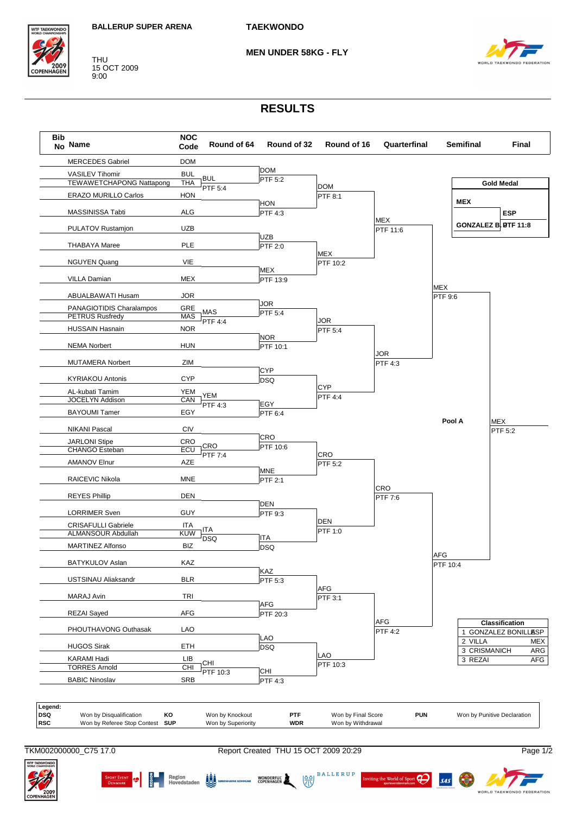

**THU** 15 OCT 2009  $9:00$ 

**MEN UNDER 58KG - FLY** 



## **RESULTS**



**BALLERUP** 

ng the World of Sport

 $\sigma$ 

 $s$ <sub>45</sub>

 $\frac{88}{32}$ 

WONDERFUL WORKEN



**Edward Region**<br>Bill Hovedstaden **AD**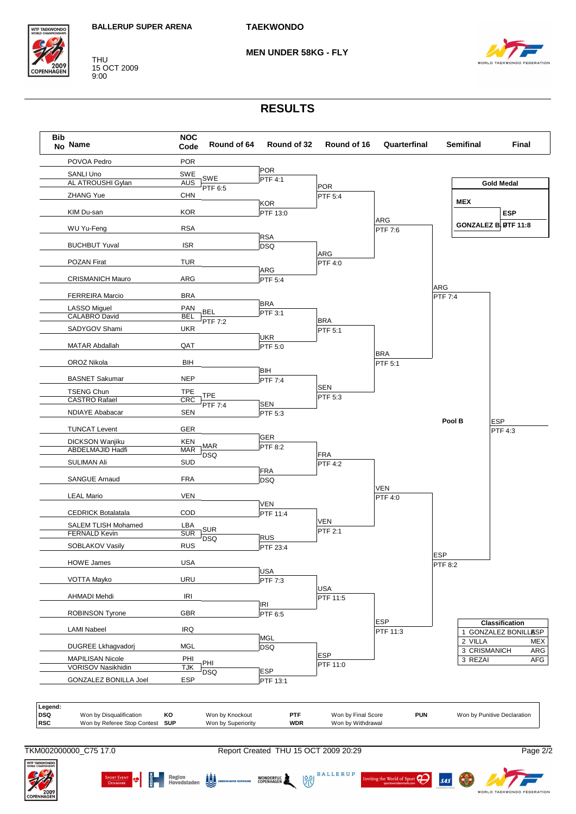

THU 15 OCT 2009 9:00

**MEN UNDER 58KG - FLY**



## **RESULTS**



WONDERFUL WORKEN

 $\frac{88}{32}$ 

 $\frac{2}{3}$  Region  $\frac{1}{3}$  Region

**BALLERUP** 

ng the World of Sport

 $\boldsymbol{\beta}$ 

 $s$ <sub>45</sub>

**ITF TAEKWOND** 

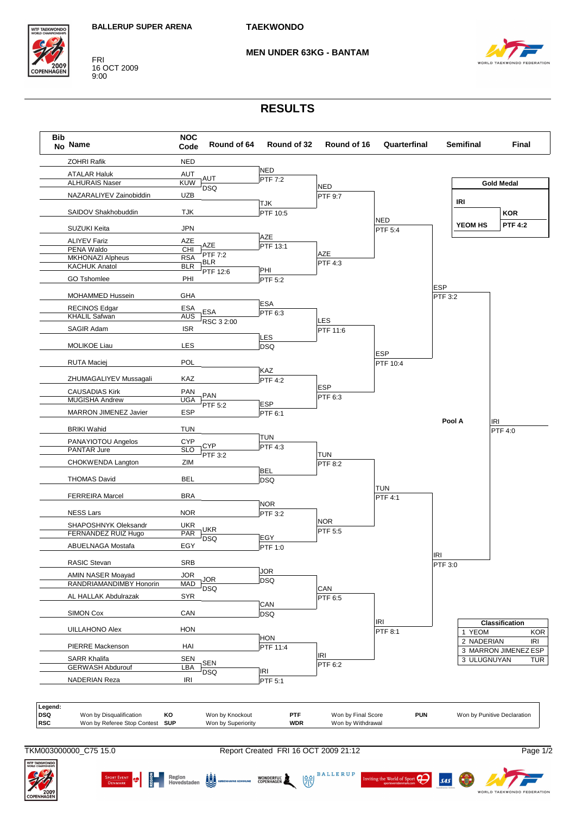

#### **MEN UNDER 63KG - BANTAM**



## **RESULTS**

| <b>Bib</b> | No Name                                                | <b>NOC</b><br>Code       | Round of 64                           | Round of 32            | Round of 16                             | Quarterfinal                |            | <b>Semifinal</b> | Final                        |
|------------|--------------------------------------------------------|--------------------------|---------------------------------------|------------------------|-----------------------------------------|-----------------------------|------------|------------------|------------------------------|
|            | <b>ZOHRI Rafik</b>                                     | <b>NED</b>               |                                       |                        |                                         |                             |            |                  |                              |
|            | <b>ATALAR Haluk</b>                                    | <b>AUT</b>               |                                       | <b>NED</b>             |                                         |                             |            |                  |                              |
|            | <b>ALHURAIS Naser</b>                                  | <b>KUW</b>               | AUT                                   | PTF 7:2                | <b>NED</b>                              |                             |            |                  | <b>Gold Medal</b>            |
|            | NAZARALIYEV Zainobiddin                                | <b>UZB</b>               | <b>DSQ</b>                            |                        | PTF 9:7                                 |                             |            |                  |                              |
|            | SAIDOV Shakhobuddin                                    | <b>TJK</b>               |                                       | <b>TJK</b><br>PTF 10:5 |                                         |                             |            | IRI              | <b>KOR</b>                   |
|            |                                                        |                          |                                       |                        |                                         | <b>NED</b>                  |            | <b>YEOM HS</b>   | <b>PTF 4:2</b>               |
|            | SUZUKI Keita                                           | <b>JPN</b>               |                                       | AZE                    |                                         | PTF 5:4                     |            |                  |                              |
|            | <b>ALIYEV Fariz</b><br>PENA Waldo                      | <b>AZE</b><br>CHI        | AZE                                   | PTF 13:1               |                                         |                             |            |                  |                              |
|            | <b>MKHONAZI Alpheus</b>                                | <b>RSA</b>               | PTF 7:2                               |                        | AZE                                     |                             |            |                  |                              |
|            | <b>KACHUK Anatol</b>                                   | <b>BLR</b>               | <b>BLR</b>                            |                        | PTF 4:3                                 |                             |            |                  |                              |
|            | <b>GO Tshomlee</b>                                     | PHI                      | PTF 12:6                              | PHI<br>PTF 5:2         |                                         |                             |            |                  |                              |
|            |                                                        |                          |                                       |                        |                                         |                             | <b>ESP</b> |                  |                              |
|            | MOHAMMED Hussein                                       | GHA                      |                                       | <b>ESA</b>             |                                         |                             | PTF 3:2    |                  |                              |
|            | <b>RECINOS Edgar</b>                                   | ESA                      | <b>ESA</b>                            | PTF 6:3                |                                         |                             |            |                  |                              |
|            | <b>KHALIL Safwan</b>                                   | <b>AUS</b>               | RSC 3 2:00                            |                        | LES                                     |                             |            |                  |                              |
|            | SAGIR Adam                                             | <b>ISR</b>               |                                       |                        | PTF 11:6                                |                             |            |                  |                              |
|            | <b>MOLIKOE Liau</b>                                    | <b>LES</b>               |                                       | <b>LES</b>             |                                         |                             |            |                  |                              |
|            |                                                        |                          |                                       | <b>DSQ</b>             |                                         | <b>ESP</b>                  |            |                  |                              |
|            | <b>RUTA Maciej</b>                                     | POL                      |                                       |                        |                                         | PTF 10:4                    |            |                  |                              |
|            | ZHUMAGALIYEV Mussagali                                 | KAZ                      |                                       | KAZ<br><b>PTF 4:2</b>  |                                         |                             |            |                  |                              |
|            | <b>CAUSADIAS Kirk</b>                                  | PAN                      |                                       |                        | <b>ESP</b>                              |                             |            |                  |                              |
|            | <b>MUGISHA Andrew</b>                                  | <b>UGA</b>               | <b>PAN</b><br>PTF 5:2                 | <b>ESP</b>             | PTF 6:3                                 |                             |            |                  |                              |
|            | MARRON JIMENEZ Javier                                  | <b>ESP</b>               |                                       | PTF 6:1                |                                         |                             |            |                  |                              |
|            | <b>BRIKI Wahid</b>                                     | <b>TUN</b>               |                                       |                        |                                         |                             | Pool A     |                  | <b>IRI</b><br><b>PTF 4:0</b> |
|            | PANAYIOTOU Angelos                                     | <b>CYP</b>               |                                       | <b>TUN</b>             |                                         |                             |            |                  |                              |
|            | PANTAR Jure                                            | <b>SLO</b>               | <b>CYP</b>                            | <b>PTF 4:3</b>         |                                         |                             |            |                  |                              |
|            | CHOKWENDA Langton                                      | ZIM                      | PTF 3:2                               |                        | <b>TUN</b>                              |                             |            |                  |                              |
|            |                                                        |                          |                                       | <b>BEL</b>             | PTF 8:2                                 |                             |            |                  |                              |
|            | <b>THOMAS David</b>                                    | <b>BEL</b>               |                                       | <b>DSQ</b>             |                                         |                             |            |                  |                              |
|            | <b>FERREIRA Marcel</b>                                 | <b>BRA</b>               |                                       |                        |                                         | <b>TUN</b><br>PTF 4:1       |            |                  |                              |
|            |                                                        |                          |                                       | <b>NOR</b>             |                                         |                             |            |                  |                              |
|            | <b>NESS Lars</b>                                       | <b>NOR</b>               |                                       | PTF 3:2                | <b>NOR</b>                              |                             |            |                  |                              |
|            | SHAPOSHNYK Oleksandr<br>FERNANDEZ RUIZ Hugo            | <b>UKR</b><br>PAR        | <b>UKR</b>                            |                        | PTF 5:5                                 |                             |            |                  |                              |
|            | ABUELNAGA Mostafa                                      | EGY                      | <b>DSQ</b>                            | EGY<br>PTF 1:0         |                                         |                             |            |                  |                              |
|            |                                                        |                          |                                       |                        |                                         |                             | <b>IRI</b> |                  |                              |
|            | RASIC Stevan                                           | <b>SRB</b>               |                                       | <b>JOR</b>             |                                         |                             | PTF 3:0    |                  |                              |
|            | AMIN NASER Moayad<br>RANDRIAMANDIMBY Honorin           | <b>JOR</b><br><b>MAD</b> | <b>JOR</b>                            | <b>DSQ</b>             |                                         |                             |            |                  |                              |
|            | AL HALLAK Abdulrazak                                   | <b>SYR</b>               | <b>DSQ</b>                            |                        | CAN                                     |                             |            |                  |                              |
|            |                                                        |                          |                                       | CAN                    | PTF 6:5                                 |                             |            |                  |                              |
|            | <b>SIMON Cox</b>                                       | CAN                      |                                       | <b>DSQ</b>             |                                         |                             |            |                  |                              |
|            | <b>UILLAHONO Alex</b>                                  | <b>HON</b>               |                                       |                        |                                         | IRI<br>$\overline{PTF}$ 8:1 |            | 1 YEOM           | Classification               |
|            | <b>PIERRE Mackenson</b>                                | HAI                      |                                       | HON<br>PTF 11:4        |                                         |                             |            | 2 NADERIAN       | <b>KOR</b><br><b>IRI</b>     |
|            | <b>SARR Khalifa</b>                                    | SEN                      |                                       |                        | <b>IRI</b>                              |                             |            | 3 ULUGNUYAN      | 3 MARRON JIMENEZ ESP         |
|            | <b>GERWASH Abdurouf</b>                                | <b>LBA</b>               | <b>SEN</b>                            | <b>IRI</b>             | PTF 6:2                                 |                             |            |                  | <b>TUR</b>                   |
|            | <b>NADERIAN Reza</b>                                   | <b>IRI</b>               | <b>DSQ</b>                            | PTF 5:1                |                                         |                             |            |                  |                              |
|            |                                                        |                          |                                       |                        |                                         |                             |            |                  |                              |
| Legend:    | Won by Disqualification<br>Won by Referee Stop Contest | KO<br><b>SUP</b>         | Won by Knockout<br>Won by Superiority | PTF<br><b>WDR</b>      | Won by Final Score<br>Won by Withdrawal | <b>PUN</b>                  |            |                  | Won by Punitive Declaration  |

TKM003000000\_C75 15.0 Report Created FRI 16 OCT 2009 21:12 Page 1/2

6

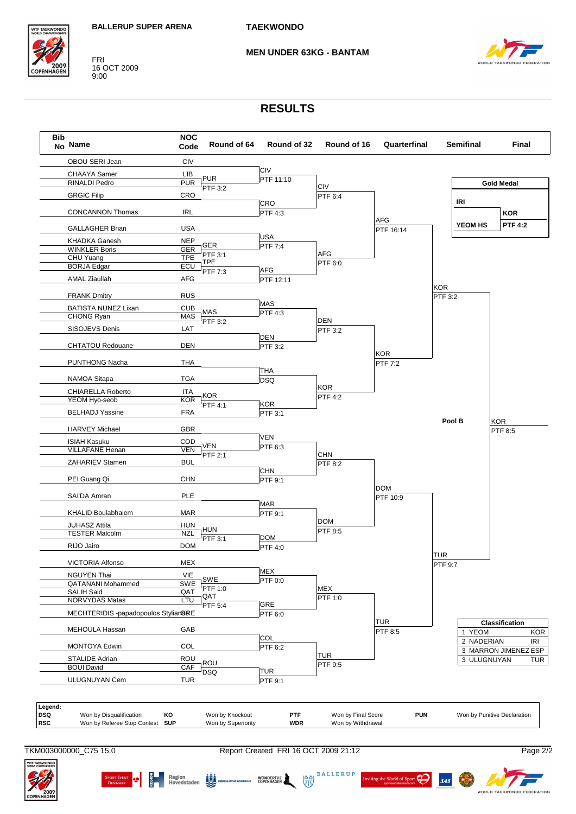

#### **MEN UNDER 63KG - BANTAM**



#### **RESULTS**



SPORT EVENT **19 EM Region** Region **19 EM** 

TKM003000000\_C75 15.0 Report Created FRI 16 OCT 2009 21:12 Page 2/2

WONDERFUL

 $\frac{88}{32}$ 

**BALLERUP** 

ting the World of Sport

 $\boldsymbol{\beta}$ 

 $s4s$ 

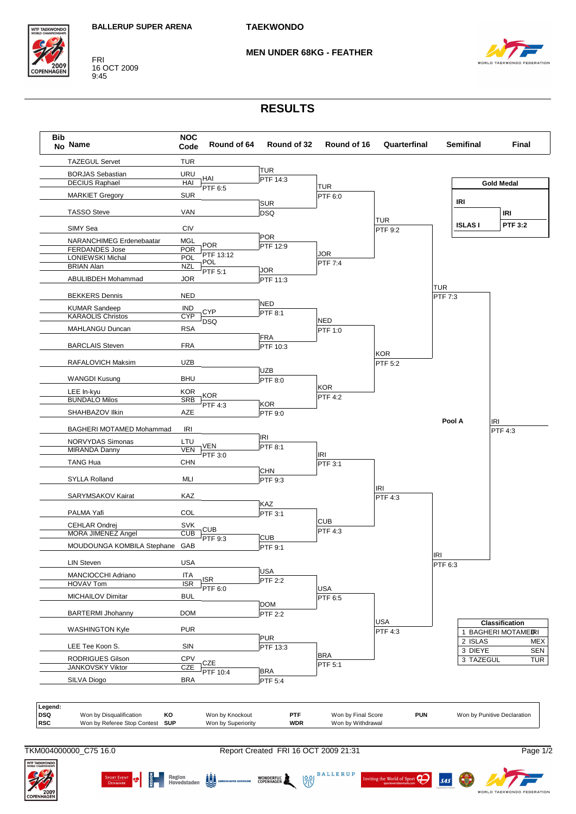

#### **MEN UNDER 68KG - FEATHER**



## **RESULTS**



SPORT EVENT **19 EM Region** Region **19 EM** 

TKM004000000\_C75 16.0 Report Created FRI 16 OCT 2009 21:31 Page 1/2

WONDERFUL WORKEN

 $\frac{88}{32}$ 

**BALLERUP** 

ing the World of Sport

 $\boldsymbol{\beta}$ 

 $s$ <sub>45</sub>



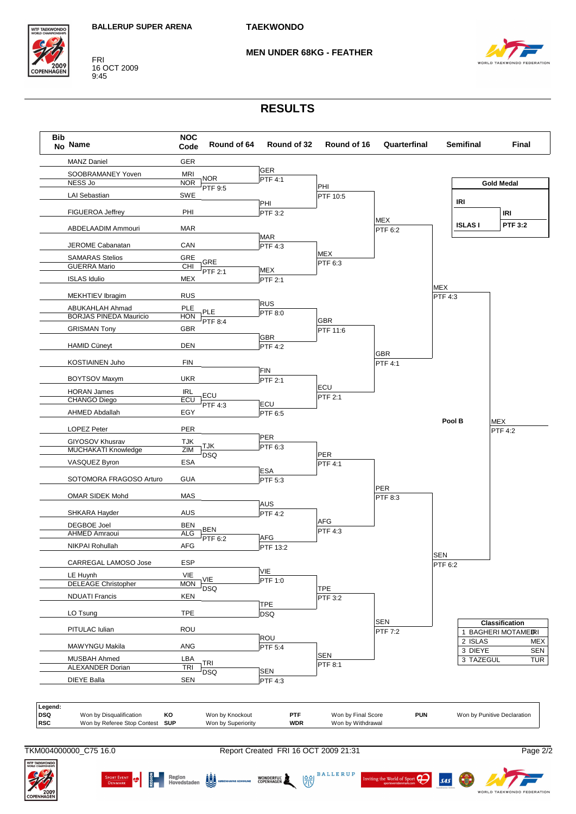

#### **MEN UNDER 68KG - FEATHER**



### **RESULTS**



SPORT EVENT **19 EM Region** Region **19 EM** 

TKM004000000\_C75 16.0 Report Created FRI 16 OCT 2009 21:31 Page 2/2

WONDERFUL

 $\frac{88}{32}$ 

**BALLERUP** 

ting the World of Sport

 $\boldsymbol{\beta}$ 

 $s4s$ 

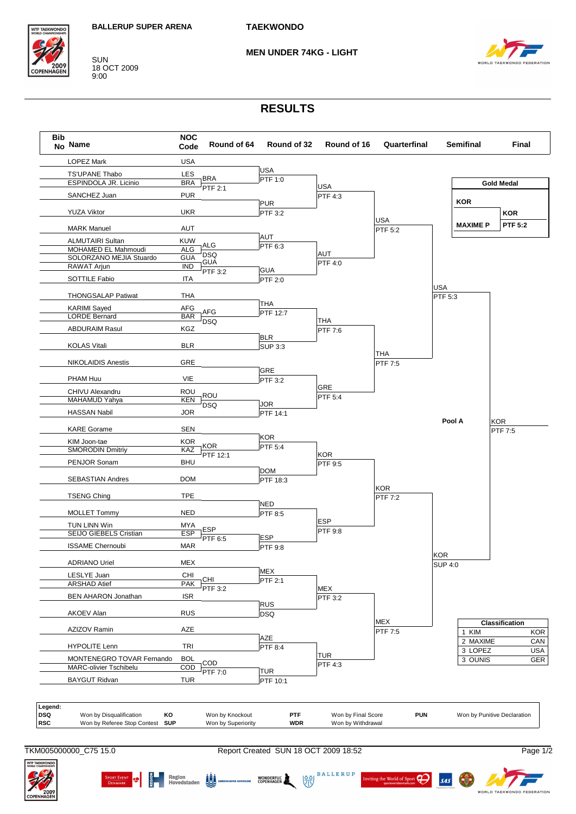

SUN<br>18 OCT 2009<br>9:00

#### **MEN UNDER 74KG - LIGHT**



## **RESULTS**

| <b>Bib</b> | No Name                                        | <b>NOC</b><br>Code       | Round of 64     | Round of 32                 | Round of 16        | Quarterfinal |                | <b>Semifinal</b> | Final                       |
|------------|------------------------------------------------|--------------------------|-----------------|-----------------------------|--------------------|--------------|----------------|------------------|-----------------------------|
|            | <b>LOPEZ Mark</b>                              | <b>USA</b>               |                 |                             |                    |              |                |                  |                             |
|            | <b>TS'UPANE Thabo</b>                          | LES                      |                 | <b>USA</b>                  |                    |              |                |                  |                             |
|            | ESPINDOLA JR. Licinio                          | <b>BRA</b>               | <b>BRA</b>      | PTF 1:0                     | <b>USA</b>         |              |                |                  | <b>Gold Medal</b>           |
|            | SANCHEZ Juan                                   | <b>PUR</b>               | PTF 2:1         |                             | <b>PTF 4:3</b>     |              |                |                  |                             |
|            |                                                |                          |                 | <b>PUR</b>                  |                    |              |                | <b>KOR</b>       |                             |
|            | <b>YUZA Viktor</b>                             | <b>UKR</b>               |                 | PTF 3:2                     |                    |              |                |                  | <b>KOR</b>                  |
|            | <b>MARK Manuel</b>                             | <b>AUT</b>               |                 |                             |                    | <b>USA</b>   |                | <b>MAXIME P</b>  | <b>PTF 5:2</b>              |
|            |                                                |                          |                 | <b>AUT</b>                  |                    | PTF 5:2      |                |                  |                             |
|            | <b>ALMUTAIRI Sultan</b>                        | <b>KUW</b>               | ALG             | $\overline{\text{PTF}}$ 6:3 |                    |              |                |                  |                             |
|            | MOHAMED EL Mahmoudi<br>SOLORZANO MEJIA Stuardo | <b>ALG</b><br><b>GUA</b> | <b>DSQ</b>      |                             | AUT                |              |                |                  |                             |
|            | RAWAT Arjun                                    | $\overline{IND}$         | GUA             |                             | PTF 4:0            |              |                |                  |                             |
|            |                                                |                          | PTF 3:2         | <b>GUA</b>                  |                    |              |                |                  |                             |
|            | SOTTILE Fabio                                  | <b>ITA</b>               |                 | <b>PTF 2:0</b>              |                    |              | USA            |                  |                             |
|            | <b>THONGSALAP Patiwat</b>                      | THA                      |                 |                             |                    |              | PTF 5:3        |                  |                             |
|            |                                                |                          |                 | THA                         |                    |              |                |                  |                             |
|            | <b>KARIMI</b> Sayed<br><b>LORDE Bernard</b>    | <b>AFG</b><br><b>BAR</b> | <b>AFG</b>      | PTF 12:7                    |                    |              |                |                  |                             |
|            |                                                |                          | <b>DSQ</b>      |                             | <b>THA</b>         |              |                |                  |                             |
|            | <b>ABDURAIM Rasul</b>                          | KGZ                      |                 |                             | PTF 7:6            |              |                |                  |                             |
|            | <b>KOLAS Vitali</b>                            | <b>BLR</b>               |                 | <b>BLR</b>                  |                    |              |                |                  |                             |
|            |                                                |                          |                 | <b>SUP 3:3</b>              |                    | THA          |                |                  |                             |
|            | <b>NIKOLAIDIS Anestis</b>                      | GRE                      |                 |                             |                    | PTF 7:5      |                |                  |                             |
|            |                                                |                          |                 | <b>GRE</b>                  |                    |              |                |                  |                             |
|            | PHAM Huu                                       | VIE                      |                 | <b>PTF 3:2</b>              |                    |              |                |                  |                             |
|            | CHIVU Alexandru                                | <b>ROU</b>               |                 |                             | GRE                |              |                |                  |                             |
|            | <b>MAHAMUD Yahya</b>                           | <b>KEN</b>               | ROU             |                             | PTF 5:4            |              |                |                  |                             |
|            | <b>HASSAN Nabil</b>                            | JOR                      | <b>DSQ</b>      | <b>JOR</b>                  |                    |              |                |                  |                             |
|            |                                                |                          |                 | <b>PTF 14:1</b>             |                    |              | Pool A         |                  | <b>KOR</b>                  |
|            | <b>KARE Gorame</b>                             | <b>SEN</b>               |                 |                             |                    |              |                |                  | PTF 7:5                     |
|            | KIM Joon-tae                                   | KOR                      |                 | <b>KOR</b>                  |                    |              |                |                  |                             |
|            | <b>SMORODIN Dmitriy</b>                        | KAZ                      | <b>KOR</b>      | PTF 5:4                     |                    |              |                |                  |                             |
|            |                                                |                          | PTF 12:1        |                             | <b>KOR</b>         |              |                |                  |                             |
|            | PENJOR Sonam                                   | <b>BHU</b>               |                 | <b>DOM</b>                  | PTF 9:5            |              |                |                  |                             |
|            | <b>SEBASTIAN Andres</b>                        | <b>DOM</b>               |                 | PTF 18:3                    |                    |              |                |                  |                             |
|            |                                                |                          |                 |                             |                    | <b>KOR</b>   |                |                  |                             |
|            | <b>TSENG Ching</b>                             | <b>TPE</b>               |                 |                             |                    | PTF 7:2      |                |                  |                             |
|            |                                                |                          |                 | <b>NED</b>                  |                    |              |                |                  |                             |
|            | <b>MOLLET Tommy</b>                            | <b>NED</b>               |                 | PTF 8:5                     |                    |              |                |                  |                             |
|            | TUN LINN Win                                   | <b>MYA</b>               | <b>ESP</b>      |                             | <b>ESP</b>         |              |                |                  |                             |
|            | SEIJO GIEBELS Cristian                         | <b>ESP</b>               | PTF 6:5         | <b>ESP</b>                  | PTF 9:8            |              |                |                  |                             |
|            | <b>ISSAME Chernoubi</b>                        | <b>MAR</b>               |                 | <b>PTF 9:8</b>              |                    |              |                |                  |                             |
|            |                                                |                          |                 |                             |                    |              | <b>KOR</b>     |                  |                             |
|            | <b>ADRIANO Uriel</b>                           | MEX                      |                 |                             |                    |              | <b>SUP 4:0</b> |                  |                             |
|            | LESLYE Juan                                    | CHI                      |                 | <b>MEX</b>                  |                    |              |                |                  |                             |
|            | <b>ARSHAD Atief</b>                            | <b>PAK</b>               | CHI<br>PTF 3:2  | PTF 2:1                     | <b>MEX</b>         |              |                |                  |                             |
|            | <b>BEN AHARON Jonathan</b>                     | <b>ISR</b>               |                 |                             | PTF 3:2            |              |                |                  |                             |
|            |                                                |                          |                 | <b>RUS</b>                  |                    |              |                |                  |                             |
|            | AKOEV Alan                                     | <b>RUS</b>               |                 | <b>DSQ</b>                  |                    |              |                |                  |                             |
|            |                                                |                          |                 |                             |                    | <b>MEX</b>   |                |                  | Classification              |
|            | AZIZOV Ramin                                   | AZE                      |                 |                             |                    | PTF 7:5      |                | 1 KIM            | <b>KOR</b>                  |
|            | <b>HYPOLITE Lenn</b>                           | <b>TRI</b>               |                 | <b>AZE</b>                  |                    |              |                | 2 MAXIME         | CAN                         |
|            |                                                |                          |                 | PTF 8:4                     | <b>TUR</b>         |              |                | 3 LOPEZ          | <b>USA</b>                  |
|            | MONTENEGRO TOVAR Fernando                      | <b>BOL</b>               | COD             |                             | PTF 4:3            |              |                | 3 OUNIS          | <b>GER</b>                  |
|            | MARC-olivier Tschibelu                         | COD                      | PTF 7:0         | <b>TUR</b>                  |                    |              |                |                  |                             |
|            | <b>BAYGUT Ridvan</b>                           | <b>TUR</b>               |                 | PTF 10:1                    |                    |              |                |                  |                             |
| Legend:    |                                                |                          |                 |                             |                    |              |                |                  |                             |
|            | Won by Disqualification<br>KO                  |                          | Won by Knockout | PTF                         | Won by Final Score | <b>PUN</b>   |                |                  | Won by Punitive Declaration |
|            | Won by Referee Stop Contest<br><b>SUP</b>      |                          |                 | <b>WDR</b>                  |                    |              |                |                  |                             |

TKM005000000\_C75 15.0

Report Created SUN 18 OCT 2009 18:52

 $\begin{picture}(150,10) \put(0,0){\line(1,0){15}} \put(150,0){\line(1,0){15}} \put(150,0){\line(1,0){15}} \put(150,0){\line(1,0){15}} \put(150,0){\line(1,0){15}} \put(150,0){\line(1,0){15}} \put(150,0){\line(1,0){15}} \put(150,0){\line(1,0){15}} \put(150,0){\line(1,0){15}} \put(150,0){\line(1,0){15}} \put(150,0){\line(1,0){15}} \$ 



SAS  $\left(\frac{1}{2}\right)$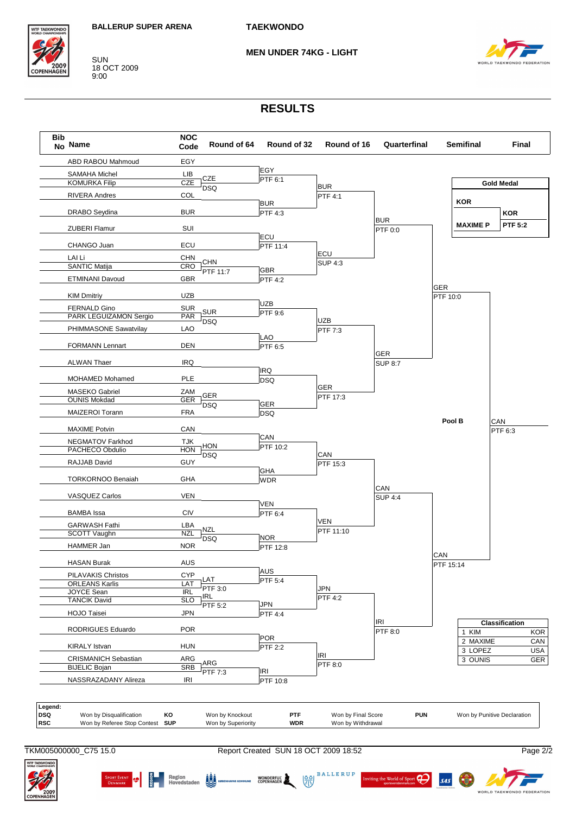

SUN 18 OCT 2009 9:00

#### **MEN UNDER 74KG - LIGHT**



## **RESULTS**

| Bib<br>No Name |                                             | <b>NOC</b><br>Code       | Round of 64        | Round of 32                  | Round of 16           | Quarterfinal   |            | <b>Semifinal</b> | Final                       |
|----------------|---------------------------------------------|--------------------------|--------------------|------------------------------|-----------------------|----------------|------------|------------------|-----------------------------|
|                | ABD RABOU Mahmoud                           | EGY                      |                    |                              |                       |                |            |                  |                             |
|                | <b>SAMAHA Michel</b>                        | LIB                      |                    | EGY                          |                       |                |            |                  |                             |
|                | <b>KOMURKA Filip</b>                        | <b>CZE</b>               | CZE                | PTF 6:1                      | <b>BUR</b>            |                |            |                  | <b>Gold Medal</b>           |
|                | RIVERA Andres                               | COL                      | <b>DSQ</b>         |                              | PTF 4:1               |                |            |                  |                             |
|                |                                             |                          |                    | <b>BUR</b>                   |                       |                |            | <b>KOR</b>       |                             |
|                | <b>DRABO</b> Seydina                        | <b>BUR</b>               |                    | PTF 4:3                      |                       |                |            |                  | <b>KOR</b>                  |
|                |                                             |                          |                    |                              |                       | <b>BUR</b>     |            | <b>MAXIME P</b>  | <b>PTF 5:2</b>              |
|                | <b>ZUBERI Flamur</b>                        | SUI                      |                    | ECU                          |                       | PTF 0:0        |            |                  |                             |
|                | CHANGO Juan                                 | ECU                      |                    | PTF 11:4                     |                       |                |            |                  |                             |
|                |                                             |                          |                    |                              | ECU                   |                |            |                  |                             |
|                | LAI Li<br><b>SANTIC Matija</b>              | <b>CHN</b><br>CRO        | CHN                |                              | <b>SUP 4:3</b>        |                |            |                  |                             |
|                |                                             |                          | PTF 11:7           | <b>GBR</b>                   |                       |                |            |                  |                             |
|                | ETMINANI Davoud                             | <b>GBR</b>               |                    | <b>PTF 4:2</b>               |                       |                | <b>GER</b> |                  |                             |
|                | <b>KIM Dmitriy</b>                          | <b>UZB</b>               |                    |                              |                       |                | PTF 10:0   |                  |                             |
|                | <b>FERNALD Gino</b>                         | <b>SUR</b>               |                    | <b>UZB</b>                   |                       |                |            |                  |                             |
|                | PARK LEGUIZAMON Sergio                      | PAR                      | <b>SUR</b>         | PTF 9:6                      |                       |                |            |                  |                             |
|                | PHIMMASONE Sawatvilay                       | LAO                      | <b>DSQ</b>         |                              | <b>UZB</b>            |                |            |                  |                             |
|                |                                             |                          |                    | LAO                          | PTF 7:3               |                |            |                  |                             |
|                | <b>FORMANN Lennart</b>                      | <b>DEN</b>               |                    | PTF 6:5                      |                       |                |            |                  |                             |
|                |                                             |                          |                    |                              |                       | GER            |            |                  |                             |
|                | <b>ALWAN Thaer</b>                          | IRQ                      |                    |                              |                       | <b>SUP 8:7</b> |            |                  |                             |
|                | MOHAMED Mohamed                             | PLE                      |                    | <b>IRQ</b>                   |                       |                |            |                  |                             |
|                |                                             |                          |                    | <b>DSQ</b>                   | <b>GER</b>            |                |            |                  |                             |
|                | MASEKO Gabriel<br><b>OUNIS Mokdad</b>       | ZAM<br><b>GER</b>        | GER                |                              | PTF 17:3              |                |            |                  |                             |
|                |                                             |                          | <b>DSQ</b>         | <b>GER</b>                   |                       |                |            |                  |                             |
|                | MAIZEROI Torann                             | <b>FRA</b>               |                    | <b>DSQ</b>                   |                       |                |            |                  |                             |
|                | <b>MAXIME Potvin</b>                        | CAN                      |                    |                              |                       |                |            | Pool B           | CAN<br><b>PTF 6:3</b>       |
|                |                                             |                          |                    | CAN                          |                       |                |            |                  |                             |
|                | NEGMATOV Farkhod<br>PACHECO Obdulio         | <b>TJK</b><br><b>HON</b> | <b>HON</b>         | PTF 10:2                     |                       |                |            |                  |                             |
|                |                                             |                          | <b>DSQ</b>         |                              | CAN                   |                |            |                  |                             |
|                | RAJJAB David                                | <b>GUY</b>               |                    |                              | PTF 15:3              |                |            |                  |                             |
|                | <b>TORKORNOO Benaiah</b>                    | <b>GHA</b>               |                    | GHA<br><b>WDR</b>            |                       |                |            |                  |                             |
|                |                                             |                          |                    |                              |                       | CAN            |            |                  |                             |
|                | <b>VASQUEZ Carlos</b>                       | VEN                      |                    |                              |                       | <b>SUP 4:4</b> |            |                  |                             |
|                |                                             |                          |                    | VEN                          |                       |                |            |                  |                             |
|                | <b>BAMBA</b> Issa                           | <b>CIV</b>               |                    | PTF 6:4                      |                       |                |            |                  |                             |
|                | <b>GARWASH Fathi</b>                        | LBA                      | NZL                |                              | VEN<br>PTF 11:10      |                |            |                  |                             |
|                | SCOTT Vaughn                                | <b>NZL</b>               | <b>DSQ</b>         | <b>NOR</b>                   |                       |                |            |                  |                             |
|                | HAMMER Jan                                  | <b>NOR</b>               |                    | PTF 12:8                     |                       |                |            |                  |                             |
|                | <b>HASAN Burak</b>                          | <b>AUS</b>               |                    |                              |                       |                | CAN        |                  |                             |
|                |                                             |                          |                    | AUS                          |                       |                | PTF 15:14  |                  |                             |
|                | PILAVAKIS Christos<br><b>ORLEANS Karlis</b> | <b>CYP</b><br>LAT        | LAT                | PTF 5:4                      |                       |                |            |                  |                             |
|                | <b>JOYCE Sean</b>                           | <b>IRL</b>               | PTF 3:0            |                              | JPN                   |                |            |                  |                             |
|                | <b>TANCIK David</b>                         | <b>SLO</b>               | <b>IRL</b>         |                              | <b>PTF 4:2</b>        |                |            |                  |                             |
|                | HOJO Taisei                                 | <b>JPN</b>               | PTF 5:2            | <b>JPN</b><br><b>PTF 4:4</b> |                       |                |            |                  |                             |
|                |                                             |                          |                    |                              |                       | IRI            |            |                  | Classification              |
|                | RODRIGUES Eduardo                           | <b>POR</b>               |                    |                              |                       | PTF 8:0        |            | 1 KIM            |                             |
|                |                                             |                          |                    | <b>POR</b>                   |                       |                |            | 2 MAXIME         |                             |
|                | <b>KIRALY Istvan</b>                        | <b>HUN</b>               |                    | <b>PTF 2:2</b>               |                       |                |            | 3 LOPEZ          |                             |
|                | <b>CRISMANICH Sebastian</b>                 | ARG                      | ARG                |                              | <b>IRI</b><br>PTF 8:0 |                |            | 3 OUNIS          |                             |
|                | <b>BIJELIC Bojan</b>                        | SRB                      | PTF 7:3            | <b>IRI</b>                   |                       |                |            |                  |                             |
|                | NASSRAZADANY Alireza                        | IRI                      |                    | PTF 10:8                     |                       |                |            |                  |                             |
|                |                                             |                          |                    |                              |                       |                |            |                  |                             |
| Legend:        | Won by Disqualification                     | KO                       | Won by Knockout    | PTF                          | Won by Final Score    | <b>PUN</b>     |            |                  | Won by Punitive Declaration |
|                | Won by Referee Stop Contest                 | <b>SUP</b>               | Won by Superiority | <b>WDR</b>                   | Won by Withdrawal     |                |            |                  |                             |

TKM005000000\_C75 15.0 Report Created SUN 18 OCT 2009 18:52 Page 2/2

 $\begin{picture}(150,10) \put(0,0){\line(1,0){15}} \put(150,0){\line(1,0){15}} \put(150,0){\line(1,0){15}} \put(150,0){\line(1,0){15}} \put(150,0){\line(1,0){15}} \put(150,0){\line(1,0){15}} \put(150,0){\line(1,0){15}} \put(150,0){\line(1,0){15}} \put(150,0){\line(1,0){15}} \put(150,0){\line(1,0){15}} \put(150,0){\line(1,0){15}} \$ 



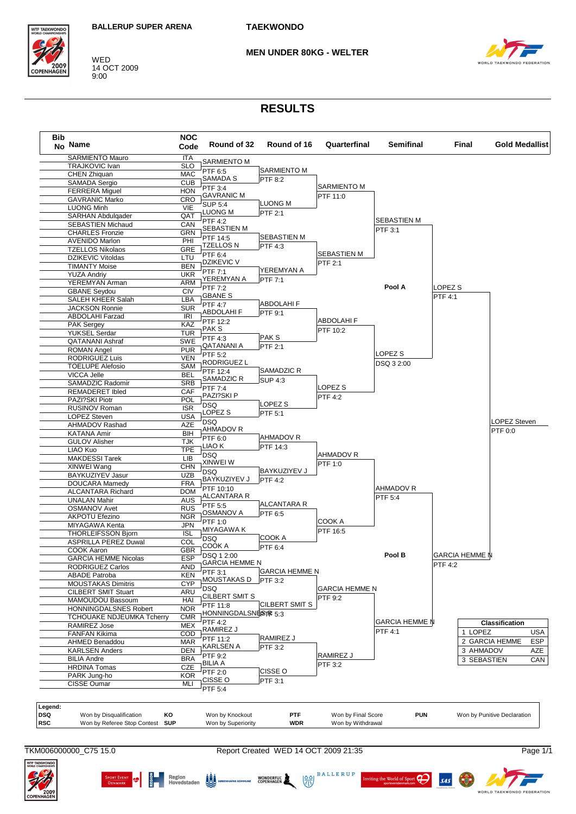

WED 14 OCT 2009<br>9:00 **MEN UNDER 80KG - WELTER** 



## **RESULTS**

| <b>Bib</b><br>No Name                     | <b>NOC</b><br>Code | Round of 32                         | Round of 16           | Quarterfinal          | <b>Semifinal</b>      | Final                 | Gold Medallist               |
|-------------------------------------------|--------------------|-------------------------------------|-----------------------|-----------------------|-----------------------|-----------------------|------------------------------|
| SARMIENTO Mauro                           | ITA                | <b>SARMIENTO M</b>                  |                       |                       |                       |                       |                              |
| TRAJKOVIC Ivan                            | <b>SLO</b>         | PTF 6:5                             | <b>SARMIENTO M</b>    |                       |                       |                       |                              |
| CHEN Zhiquan                              | <b>MAC</b>         | SAMADA S                            | PTF 8:2               |                       |                       |                       |                              |
| <b>SAMADA Sergio</b>                      | <b>CUB</b>         | PTF 3:4                             |                       | SARMIENTO M           |                       |                       |                              |
| <b>FERRERA Miguel</b>                     | <b>HON</b>         | <b>GAVRANIC M</b>                   |                       | PTF 11:0              |                       |                       |                              |
| <b>GAVRANIC Marko</b>                     | <b>CRO</b>         | <b>SUP 5:4</b>                      | <b>LUONG M</b>        |                       |                       |                       |                              |
| <b>LUONG Minh</b>                         | VIE                | LUONG M                             | PTF 2:1               |                       |                       |                       |                              |
| <b>SARHAN Abdulgader</b>                  | QAT                | <b>PTF 4:2</b>                      |                       |                       | SEBASTIEN M           |                       |                              |
| <b>SEBASTIEN Michaud</b>                  | CAN                | SEBASTIEN M                         |                       |                       | PTF 3:1               |                       |                              |
| <b>CHARLES Fronzie</b>                    | <b>GRN</b>         | PTF 14:5                            | <b>SEBASTIEN M</b>    |                       |                       |                       |                              |
| <b>AVENIDO Marlon</b>                     | PHI                | <b>TZELLOS N</b>                    | PTF 4:3               |                       |                       |                       |                              |
| <b>TZELLOS Nikolaos</b>                   | GRE                | PTF 6:4                             |                       | <b>SEBASTIEN M</b>    |                       |                       |                              |
| <b>DZIKEVIC Vitoldas</b>                  | LTU                | <b>DZIKEVIC V</b>                   |                       | PTF 2:1               |                       |                       |                              |
| <b>TIMANTY Moise</b>                      | <b>BEN</b>         | PTF 7:1                             | YEREMYAN A            |                       |                       |                       |                              |
| <b>YUZA Andriy</b>                        | <b>UKR</b>         | YEREMYAN A                          | PTF 7:1               |                       |                       |                       |                              |
| YEREMYAN Arman                            | <b>ARM</b>         | PTF 7:2                             |                       |                       | Pool A                | LOPEZ <sub>S</sub>    |                              |
| <b>GBANE Seydou</b>                       | <b>CIV</b>         | <b>GBANE S</b>                      |                       |                       |                       | <b>PTF 4:1</b>        |                              |
| SALEH KHEER Salah                         | LBA                | <b>PTF 4:7</b>                      | ABDOLAHI F            |                       |                       |                       |                              |
| <b>JACKSON Ronnie</b>                     | <b>SUR</b>         | ABDOLAHI F                          | PTF 9:1               |                       |                       |                       |                              |
| <b>ABDOLAHI Farzad</b>                    | <b>IRI</b>         | PTF 12:2                            |                       | <b>ABDOLAHIF</b>      |                       |                       |                              |
| <b>PAK Sergey</b>                         | KAZ                | PAK S                               |                       | PTF 10:2              |                       |                       |                              |
| YUKSEL Serdar                             | <b>TUR</b>         | PTF 4:3                             | PAK S                 |                       |                       |                       |                              |
| <b>QATANANI Ashraf</b>                    | <b>SWE</b>         | QATANANI A                          | PTF 2:1               |                       |                       |                       |                              |
| <b>ROMAN Angel</b>                        | <b>PUR</b>         | PTF 5:2                             |                       |                       | LOPEZ <sub>S</sub>    |                       |                              |
| RODRIGUEZ Luis                            | <b>VEN</b>         | <b>RODRIGUEZ L</b>                  |                       |                       | DSQ 3 2:00            |                       |                              |
| <b>TOELUPE Alefosio</b>                   | <b>SAM</b>         | PTF 12:4                            | SAMADZIC R            |                       |                       |                       |                              |
| VICCA Jelle                               | BEL                | SAMADZIC R                          | <b>SUP 4:3</b>        |                       |                       |                       |                              |
| SAMADZIC Radomir                          | <b>SRB</b>         | PTF 7:4                             |                       | LOPEZ S               |                       |                       |                              |
| REMADERET Ibled                           | CAF                | PAZI?SKI P                          |                       | <b>PTF 4:2</b>        |                       |                       |                              |
| PAZI?SKI Piotr                            | POL                | <b>DSQ</b>                          | LOPEZ S               |                       |                       |                       |                              |
| RUSINOV Roman                             | <b>ISR</b>         | LOPEZ S                             | PTF 5:1               |                       |                       |                       |                              |
| <b>LOPEZ Steven</b>                       | <b>USA</b>         | <b>DSQ</b>                          |                       |                       |                       |                       | LOPEZ Steven                 |
| AHMADOV Rashad                            | <b>AZE</b>         | AHMADOV R                           |                       |                       |                       |                       |                              |
| <b>KATANA Amir</b>                        | BIH                | PTF 6:0                             | AHMADOV R             |                       |                       |                       | PTF 0:0                      |
| <b>GULOV Alisher</b>                      | <b>TJK</b>         | LIAO K                              | PTF 14:3              |                       |                       |                       |                              |
| LIAO Kuo                                  | <b>TPE</b>         | <b>DSQ</b>                          |                       | AHMADOV R             |                       |                       |                              |
| <b>MAKDESSI Tarek</b>                     | LIB                | XINWEI W                            |                       |                       |                       |                       |                              |
| XINWEI Wang                               | <b>CHN</b>         | <b>DSQ</b>                          | BAYKUZIYEV J          | PTF 1:0               |                       |                       |                              |
| BAYKUZIYEV Jasur                          | <b>UZB</b>         | BAYKUZIYEV J                        | <b>PTF 4:2</b>        |                       |                       |                       |                              |
| DOUCARA Mamedy                            | <b>FRA</b>         | PTF 10:10                           |                       |                       | AHMADOV R             |                       |                              |
| <b>ALCANTARA Richard</b>                  | <b>DOM</b>         | ALCANTARA R                         |                       |                       | PTF 5:4               |                       |                              |
| <b>UNALAN Mahir</b>                       | AUS                | PTF 5:5                             | ALCANTARA R           |                       |                       |                       |                              |
| <b>OSMANOV Avet</b>                       | <b>RUS</b>         | OSMANOV A                           | PTF 6:5               |                       |                       |                       |                              |
| AKPOTU Efezino                            | <b>NGR</b>         |                                     |                       | COOK A                |                       |                       |                              |
| MIYAGAWA Kenta                            | <b>JPN</b>         | PTF 1:0<br>MIYAGAWA K               |                       |                       |                       |                       |                              |
| <b>THORLEIFSSON Bjorn</b>                 | <b>ISL</b>         |                                     | COOK A                | PTF 16:5              |                       |                       |                              |
| <b>ASPRILLA PEREZ Duwal</b>               | <b>COL</b>         | <b>DSQ</b><br>COOK A                |                       |                       |                       |                       |                              |
| COOK Aaron                                | <b>GBR</b>         |                                     | PTF 6:4               |                       |                       |                       |                              |
| <b>GARCIA HEMME Nicolas</b>               | <b>ESP</b>         | DSQ 1 2:00<br><b>GARCIA HEMME N</b> |                       |                       | Pool B                | <b>GARCIA HEMME N</b> |                              |
| RODRIGUEZ Carlos                          | <b>AND</b>         |                                     | <b>GARCIA HEMME N</b> |                       |                       | PTF 4:2               |                              |
| <b>ABADE Patroba</b>                      | <b>KEN</b>         | PTF 3:1<br>MOUSTAKAS D              |                       |                       |                       |                       |                              |
| <b>MOUSTAKAS Dimitris</b>                 | <b>CYP</b>         |                                     | PTF 3:2               |                       |                       |                       |                              |
| <b>CILBERT SMIT Stuart</b>                | ARU                | <b>DSQ</b><br>CILBERT SMIT S        |                       | <b>GARCIA HEMME N</b> |                       |                       |                              |
| MAMOUDOU Bassoum                          | HAI                |                                     |                       | PTF 9:2               |                       |                       |                              |
| HONNINGDALSNES Robert                     | <b>NOR</b>         | PTF 11:8<br>HONNINGDALSNESTR 5:3    | CILBERT SMIT S        |                       |                       |                       |                              |
| TCHOUAKE NDJEUMKA Tcherry                 | <b>CMR</b>         |                                     |                       |                       |                       |                       |                              |
| RAMIREZ Jose                              | MEX                | <b>PTF 4:2</b>                      |                       |                       | <b>GARCIA HEMME N</b> |                       | <b>Classification</b>        |
| <b>FANFAN Kikima</b>                      | COD                | RAMIREZ J                           |                       |                       | <b>PTF 4:1</b>        | 1 LOPEZ               | <b>USA</b>                   |
| AHMED Benaddou                            | <b>MAR</b>         | PTF 11:2                            | RAMIREZ J             |                       |                       |                       | 2 GARCIA HEMME<br><b>ESP</b> |
| <b>KARLSEN Anders</b>                     | <b>DEN</b>         | <b>KARLSEN A</b>                    | PTF 3:2               |                       |                       | 3 AHMADOV             | AZE                          |
| <b>BILIA Andre</b>                        | <b>BRA</b>         | PTF 9:2                             |                       | RAMIREZ J             |                       | 3 SEBASTIEN           | CAN                          |
| <b>HRDINA Tomas</b>                       | CZE                | <b>BILIA A</b>                      |                       | PTF 3:2               |                       |                       |                              |
| PARK Jung-ho                              | <b>KOR</b>         | PTF 2:0                             | CISSE O               |                       |                       |                       |                              |
| CISSE Oumar                               | MLI                | CISSE O                             | PTF 3:1               |                       |                       |                       |                              |
|                                           |                    | PTF 5:4                             |                       |                       |                       |                       |                              |
|                                           |                    |                                     |                       |                       |                       |                       |                              |
| Legend:                                   |                    |                                     |                       |                       |                       |                       |                              |
| Won by Disqualification<br>ΚO             |                    | Won by Knockout                     | PTF                   | Won by Final Score    | <b>PUN</b>            |                       | Won by Punitive Declaration  |
| <b>SUP</b><br>Won by Referee Stop Contest |                    | Won by Superiority                  | <b>WDR</b>            | Won by Withdrawal     |                       |                       |                              |

TKM006000000\_C75 15.0

Report Created WED 14 OCT 2009 21:35

Page 1/1

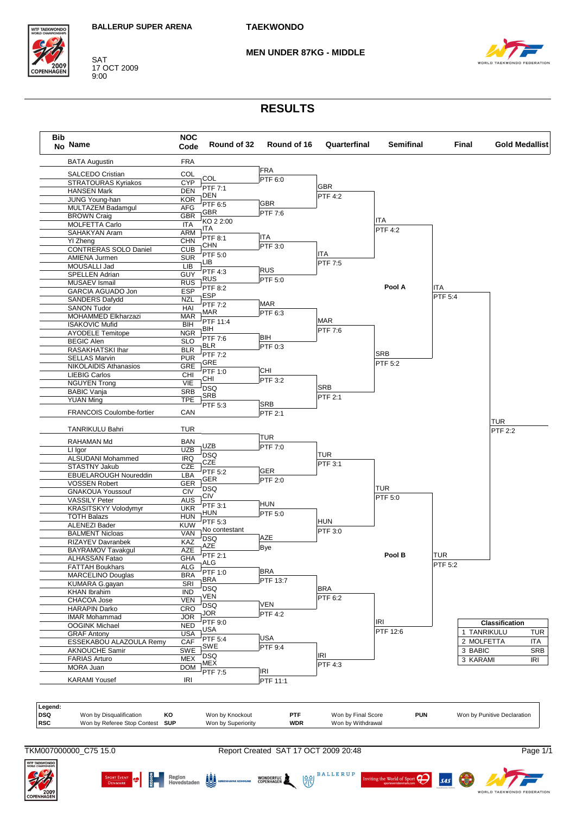

SAT<br>17 OCT 2009<br>9:00

#### **MEN UNDER 87KG - MIDDLE**



## **RESULTS**

| <b>BATA Augustin</b>             | <b>FRA</b> |                  |                |            |            |         |             |                       |
|----------------------------------|------------|------------------|----------------|------------|------------|---------|-------------|-----------------------|
| SALCEDO Cristian                 | COL        |                  | <b>FRA</b>     |            |            |         |             |                       |
| STRATOURAS Kyriakos              | <b>CYP</b> | COL              | PTF 6:0        |            |            |         |             |                       |
| <b>HANSEN Mark</b>               | <b>DEN</b> | PTF 7:1          |                | GBR        |            |         |             |                       |
| JUNG Young-han                   | <b>KOR</b> | DEN              |                | PTF 4:2    |            |         |             |                       |
| MULTAZEM Badamgul                | <b>AFG</b> | PTF 6:5          | <b>GBR</b>     |            |            |         |             |                       |
| <b>BROWN Craig</b>               | <b>GBR</b> | <b>GBR</b>       | PTF 7:6        |            | <b>ITA</b> |         |             |                       |
| <b>MOLFETTA Carlo</b>            | <b>ITA</b> | KO 2 2:00<br>ITA |                |            |            |         |             |                       |
| SAHAKYAN Aram                    | ARM        | PTF 8:1          | ITA            |            | PTF 4:2    |         |             |                       |
| <b>YI Zheng</b>                  | <b>CHN</b> | CHN              | PTF 3:0        |            |            |         |             |                       |
| CONTRERAS SOLO Daniel            | <b>CUB</b> | PTF 5:0          |                | ITA        |            |         |             |                       |
| AMIENA Jurmen                    | <b>SUR</b> | LIB              |                | PTF 7:5    |            |         |             |                       |
| MOUSALLI Jad                     | <b>LIB</b> | PTF 4:3          | RUS            |            |            |         |             |                       |
| SPELLEN Adrian                   | GUY        | <b>RUS</b>       | PTF 5:0        |            |            |         |             |                       |
| <b>MUSAEV Ismail</b>             | <b>RUS</b> | PTF 8:2          |                |            | Pool A     | ITA     |             |                       |
| <b>GARCIA AGUADO Jon</b>         | <b>ESP</b> | <b>ESP</b>       |                |            |            | PTF 5:4 |             |                       |
| SANDERS Dafydd                   | <b>NZL</b> | PTF 7:2          | MAR            |            |            |         |             |                       |
| <b>SANON Tudor</b>               | HAI        | MAR              | PTF 6:3        |            |            |         |             |                       |
| <b>MOHAMMED Elkharzazi</b>       | <b>MAR</b> | PTF 11:4         |                | <b>MAR</b> |            |         |             |                       |
| <b>ISAKOVIC Mufid</b>            | BIH        | BIH              |                | PTF 7:6    |            |         |             |                       |
| <b>AYODELE Temitope</b>          | <b>NGR</b> | PTF 7:6          | BIH            |            |            |         |             |                       |
| <b>BEGIC Alen</b>                | <b>SLO</b> | <b>BLR</b>       | PTF 0:3        |            |            |         |             |                       |
| RASAKHATSKI Ihar                 | <b>BLR</b> | PTF 7:2          |                |            | <b>SRB</b> |         |             |                       |
| <b>SELLAS Marvin</b>             | <b>PUR</b> | <b>GRE</b>       |                |            | PTF 5:2    |         |             |                       |
| <b>NIKOLAIDIS Athanasios</b>     | <b>GRE</b> | PTF 1:0          | <b>CHI</b>     |            |            |         |             |                       |
| <b>LIEBIG Carlos</b>             | CHI        | CHI              | PTF 3:2        |            |            |         |             |                       |
| <b>NGUYEN Trong</b>              | VIE        | <b>DSQ</b>       |                | <b>SRB</b> |            |         |             |                       |
| <b>BABIC Vanja</b>               | <b>SRB</b> | SRB              |                | PTF 2:1    |            |         |             |                       |
| <b>YUAN Ming</b>                 | <b>TPE</b> | PTF 5:3          | <b>SRB</b>     |            |            |         |             |                       |
| <b>FRANCOIS Coulombe-fortier</b> | CAN        |                  | PTF 2:1        |            |            |         |             |                       |
| <b>TANRIKULU Bahri</b>           | TUR        |                  |                |            |            |         |             | TUR<br>PTF 2:2        |
| RAHAMAN Md                       | BAN        |                  | TUR            |            |            |         |             |                       |
| LI Igor                          | <b>UZB</b> | <b>UZB</b>       | PTF 7:0        |            |            |         |             |                       |
| ALSUDANI Mohammed                | <b>IRQ</b> | <b>DSQ</b>       |                | TUR        |            |         |             |                       |
| <b>STASTNY Jakub</b>             | CZE        | CZE              |                | PTF 3:1    |            |         |             |                       |
| EBUELAROUGH Noureddin            | LBA        | PTF 5:2          | GER            |            |            |         |             |                       |
| <b>VOSSEN Robert</b>             | GER        | GER              | PTF 2:0        |            |            |         |             |                       |
| <b>GNAKOUA Youssouf</b>          | CIV        | <b>DSQ</b>       |                |            | <b>TUR</b> |         |             |                       |
| <b>VASSILY Peter</b>             | <b>AUS</b> | CIV              |                |            | PTF 5:0    |         |             |                       |
| <b>KRASITSKYY Volodymyr</b>      | <b>UKR</b> | PTF 3:1          | <b>HUN</b>     |            |            |         |             |                       |
| <b>TOTH Balazs</b>               | <b>HUN</b> | HUN              | PTF 5:0        |            |            |         |             |                       |
| <b>ALENEZI Bader</b>             | <b>KUW</b> | PTF 5:3          |                | HUN        |            |         |             |                       |
| <b>BALMENT Nicloas</b>           | VAN        | No contestant    |                | PTF 3:0    |            |         |             |                       |
| RIZAYEV Davranbek                | KAZ        | <b>DSQ</b>       | <b>AZE</b>     |            |            |         |             |                       |
| BAYRAMOV Tavakgul                | <b>AZE</b> | AZE              | Bye            |            |            |         |             |                       |
| ALHASSAN Fatao                   | <b>GHA</b> | PTF 2:1          |                |            | Pool B     | TUR     |             |                       |
| <b>FATTAH Boukhars</b>           | ALG        | ALG              |                |            |            | PTF 5:2 |             |                       |
| <b>MARCELINO Douglas</b>         | <b>BRA</b> | <b>PTF 1:0</b>   | <b>BRA</b>     |            |            |         |             |                       |
| KUMARA G.gayan                   | SRI        | <b>BRA</b>       | PTF 13:7       |            |            |         |             |                       |
| <b>KHAN Ibrahim</b>              | <b>IND</b> | <b>DSQ</b>       |                | <b>BRA</b> |            |         |             |                       |
| CHACOA Jose                      | <b>VEN</b> | VEN              |                | PTF 6:2    |            |         |             |                       |
| HARAPIN Darko                    | CRO        | <b>DSQ</b>       | VEN            |            |            |         |             |                       |
| <b>IMAR Mohammad</b>             | <b>JOR</b> | JOR.             | <b>PTF 4:2</b> |            |            |         |             |                       |
| <b>OOGINK Michael</b>            | <b>NED</b> | PTF 9:0          |                |            | IRI        |         |             | <b>Classification</b> |
| <b>GRAF Antony</b>               | <b>USA</b> | USA              |                |            | PTF 12:6   |         | 1 TANRIKULU |                       |
| ESSEKABOU ALAZOULA Remy          | CAF        | PTF 5:4          | <b>USA</b>     |            |            |         | 2 MOLFETTA  |                       |
| <b>AKNOUCHE Samir</b>            | SWE        | SWE              | PTF 9:4        |            |            |         | 3 BABIC     |                       |
| <b>FARIAS Arturo</b>             | MEX        | <b>DSQ</b>       |                | IRI        |            |         | 3 KARAMI    |                       |
| MORA Juan                        | <b>DOM</b> | MEX              |                | PTF 4:3    |            |         |             |                       |
|                                  |            | PTF 7:5          | <b>IRI</b>     |            |            |         |             |                       |
| <b>KARAMI Yousef</b>             | IRI        |                  | PTF 11:1       |            |            |         |             |                       |

| Legena:    |                                 |    |                    |            |                    |            |                             |
|------------|---------------------------------|----|--------------------|------------|--------------------|------------|-----------------------------|
| DSQ        | Won by Disqualification         | KО | Won by Knockout    | PTF        | Won by Final Score | <b>PUN</b> | Won by Punitive Declaration |
| <b>RSC</b> | Won by Referee Stop Contest SUP |    | Won by Superiority | <b>WDR</b> | Won by Withdrawal  |            |                             |
|            |                                 |    |                    |            |                    |            |                             |

TKM007000000\_C75 15.0

Report Created SAT 17 OCT 2009 20:48

 $\begin{picture}(150,10) \put(0,0){\line(1,0){15}} \put(150,0){\line(1,0){15}} \put(150,0){\line(1,0){15}} \put(150,0){\line(1,0){15}} \put(150,0){\line(1,0){15}} \put(150,0){\line(1,0){15}} \put(150,0){\line(1,0){15}} \put(150,0){\line(1,0){15}} \put(150,0){\line(1,0){15}} \put(150,0){\line(1,0){15}} \put(150,0){\line(1,0){15}} \$ 



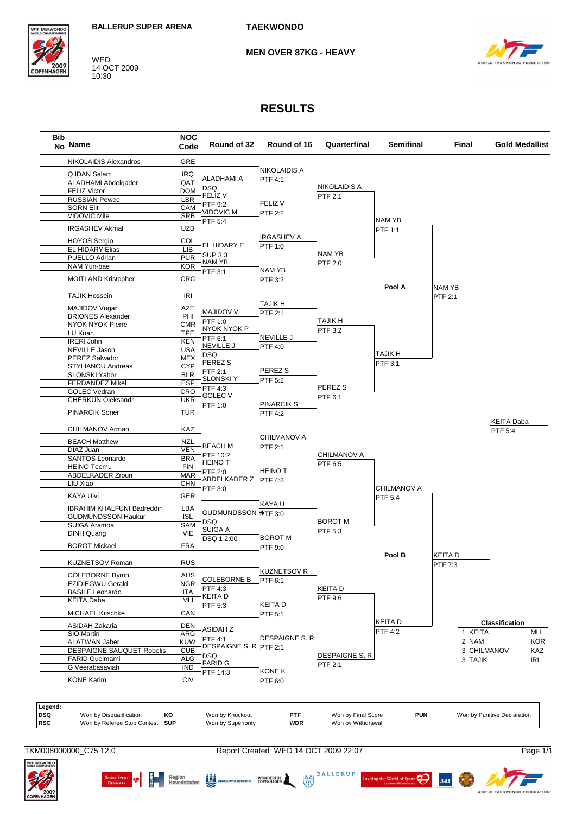

WED 14 OCT 2009 10:30

**MFN OVER 87KG - HFAVY** 



## **RESULTS**



TKM008000000 C75 12.0

SPORT EVENT **19 6 Region**<br>PENMARK **19 6 Hovedstaden** 20 Kosen

Report Created WED 14 OCT 2009 22:07

**WONDERFUL** 

**BALLERUP**  $\left(\frac{\delta}{\delta N}\right)$ 

ng the World of Sport

 $\boldsymbol{\beta}$ 



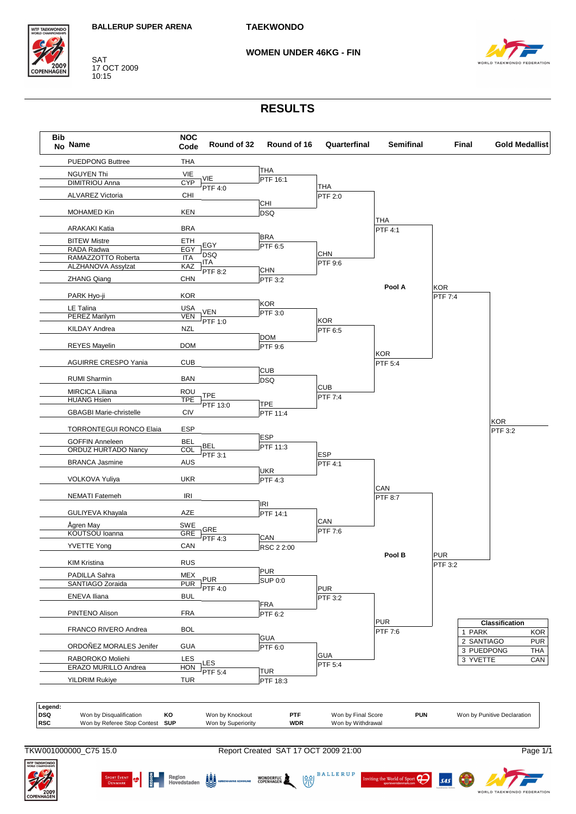

SAT 17 OCT 2009 10:15

**WOMEN UNDER 46KG - FIN** 



## **RESULTS**



TKW001000000 C75 15.0

SPORT EVENT **19 EN Region** (2014) Region

Report Created SAT 17 OCT 2009 21:00

WONDERFUL

 $\frac{88}{32}$ 

**BALLERUP** 

ng the World of Sport

 $\boldsymbol{\beta}$ 

 $s$ <sub>45</sub>

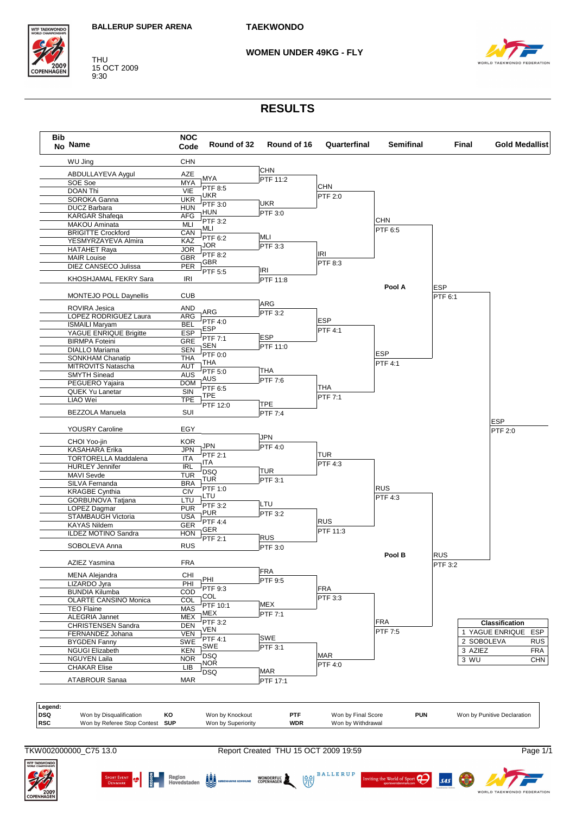

THU 15 OCT 2009 9:30

#### **WOMEN UNDER 49KG - FLY**



### **RESULTS**

| No Name                                               | Code              | Round of 32           | Round of 16    | Quarterfinal | <b>Semifinal</b>      | Final                 | <b>Gold Medallist</b> |
|-------------------------------------------------------|-------------------|-----------------------|----------------|--------------|-----------------------|-----------------------|-----------------------|
| WU Jing                                               | <b>CHN</b>        |                       |                |              |                       |                       |                       |
| ABDULLAYEVA Aygul                                     | AZE               |                       | <b>CHN</b>     |              |                       |                       |                       |
| SOE Soe                                               | <b>MYA</b>        | <b>MYA</b>            | FTF 11:2       |              |                       |                       |                       |
| <b>DOAN Thi</b>                                       | VIE               | PTF 8:5               |                | <b>CHN</b>   |                       |                       |                       |
| SOROKA Ganna                                          | <b>UKR</b>        | <b>UKR</b>            |                | PTF 2:0      |                       |                       |                       |
| <b>DUCZ Barbara</b>                                   | <b>HUN</b>        | PTF 3:0               | <b>UKR</b>     |              |                       |                       |                       |
| <b>KARGAR Shafeqa</b>                                 | <b>AFG</b>        | HUN                   | PTF 3:0        |              |                       |                       |                       |
| MAKOU Aminata                                         | MLI               | PTF 3:2<br>MLI        |                |              | <b>CHN</b><br>PTF 6:5 |                       |                       |
| <b>BRIGITTE Crockford</b>                             | CAN               | PTF 6:2               | MLI            |              |                       |                       |                       |
| YESMYRZAYEVA Almira                                   | KAZ               | JOR                   | PTF 3:3        |              |                       |                       |                       |
| <b>HATAHET Raya</b>                                   | <b>JOR</b>        | <b>PTF 8:2</b>        |                | IRI          |                       |                       |                       |
| <b>MAIR Louise</b>                                    | <b>GBR</b>        | <b>GBR</b>            |                | PTF 8:3      |                       |                       |                       |
| DIEZ CANSECO Julissa                                  | <b>PER</b>        | PTF 5:5               | <b>IRI</b>     |              |                       |                       |                       |
| KHOSHJAMAL FEKRY Sara                                 | IRI               |                       | PTF 11:8       |              |                       |                       |                       |
| MONTEJO POLL Daynellis                                | <b>CUB</b>        |                       |                |              | Pool A                | <b>ESP</b><br>PTF 6:1 |                       |
|                                                       |                   |                       | <b>ARG</b>     |              |                       |                       |                       |
| ROVIRA Jesica                                         | <b>AND</b>        | ARG                   | $FTF$ 3:2      |              |                       |                       |                       |
| LOPEZ RODRIGUEZ Laura                                 | ARG<br><b>BEL</b> | PTF 4:0               |                | <b>ESP</b>   |                       |                       |                       |
| <b>ISMAILI Maryam</b>                                 | <b>ESP</b>        | ESP                   |                | PTF 4:1      |                       |                       |                       |
| YAGUE ENRIQUE Brigitte<br><b>BIRMPA Foteini</b>       | <b>GRE</b>        | PTF 7:1               | <b>ESP</b>     |              |                       |                       |                       |
| <b>DIALLO Mariama</b>                                 | <b>SEN</b>        | SEN                   | PTF 11:0       |              |                       |                       |                       |
|                                                       | <b>THA</b>        | PTF 0:0               |                |              | <b>ESP</b>            |                       |                       |
| SONKHAM Chanatip<br><b>MITROVITS Natascha</b>         | AUT               | THA                   |                |              | <b>PTF 4:1</b>        |                       |                       |
| <b>SMYTH Sinead</b>                                   | <b>AUS</b>        | PTF 5:0               | THA            |              |                       |                       |                       |
| PEGUERO Yajaira                                       | <b>DOM</b>        | AUS                   | <b>PTF 7:6</b> |              |                       |                       |                       |
| QUEK Yu Lanetar                                       | SIN               | PTF 6:5               |                | THA          |                       |                       |                       |
| LIAO Wei                                              | <b>TPE</b>        | TPE                   |                | PTF 7:1      |                       |                       |                       |
|                                                       |                   | PTF 12:0              | <b>TPE</b>     |              |                       |                       |                       |
| BEZZOLA Manuela                                       | SUI               |                       | <b>PTF 7:4</b> |              |                       |                       | <b>ESP</b>            |
| YOUSRY Caroline                                       | EGY               |                       |                |              |                       |                       | <b>PTF 2:0</b>        |
| CHOI Yoo-jin                                          | <b>KOR</b>        |                       | JPN            |              |                       |                       |                       |
| KASAHARA Erika                                        | JPN               | JPN                   | <b>PTF 4:0</b> |              |                       |                       |                       |
| <b>TORTORELLA Maddalena</b>                           | <b>ITA</b>        | PTF 2:1               |                | <b>TUR</b>   |                       |                       |                       |
| <b>HURLEY Jennifer</b>                                | <b>IRL</b>        | ITA                   |                | PTF 4:3      |                       |                       |                       |
| MAVI Sevde                                            | <b>TUR</b>        | <b>DSQ</b>            | <b>TUR</b>     |              |                       |                       |                       |
| SILVA Fernanda                                        | <b>BRA</b>        | TUR                   | PTF 3:1        |              |                       |                       |                       |
| <b>KRAGBE Cynthia</b>                                 | CIV               | PTF 1:0               |                |              | <b>RUS</b>            |                       |                       |
| GORBUNOVA Tatjana                                     | LTU               | LTU                   | LTU            |              | PTF 4:3               |                       |                       |
| LOPEZ Dagmar                                          | <b>PUR</b>        | PTF 3:2<br><b>PUR</b> |                |              |                       |                       |                       |
| STAMBAUGH Victoria                                    | <b>USA</b>        | PTF 4:4               | PTF 3:2        | <b>RUS</b>   |                       |                       |                       |
| <b>KAYAS Nildem</b>                                   | <b>GER</b>        | GER                   |                |              |                       |                       |                       |
| ILDEZ MOTINO Sandra                                   | <b>HON</b>        | PTF 2:1               | <b>RUS</b>     | PTF 11:3     |                       |                       |                       |
| SOBOLEVA Anna                                         | <b>RUS</b>        |                       | PTF 3:0        |              |                       |                       |                       |
|                                                       |                   |                       |                |              | Pool B                | <b>RUS</b>            |                       |
| AZIEZ Yasmina                                         | <b>FRA</b>        |                       | FRA            |              |                       | PTF 3:2               |                       |
| <b>MENA Alejandra</b><br>LIZARDO Jyra                 | CHI<br>PHI        | PHI                   | PTF 9:5        |              |                       |                       |                       |
|                                                       | COD               | PTF 9:3               |                | <b>FRA</b>   |                       |                       |                       |
| <b>BUNDIA Kilumba</b><br><b>OLARTE CANSINO Monica</b> | COL               | COL                   |                | PTF 3:3      |                       |                       |                       |
| <b>TEO Flaine</b>                                     | <b>MAS</b>        | PTF 10:1              | MEX            |              |                       |                       |                       |
| ALEGRIA Jannet                                        | <b>MEX</b>        | MEX                   | PTF 7:1        |              |                       |                       |                       |
| <b>CHRISTENSEN Sandra</b>                             | <b>DEN</b>        | PTF 3:2               |                |              | <b>FRA</b>            |                       | Classification        |
| FERNANDEZ Johana                                      | <b>VEN</b>        | VEN                   |                |              | PTF 7:5               |                       | 1 YAGUE ENRIQUE       |
| <b>BYGDEN Fanny</b>                                   | SWE               | PTF 4:1               | <b>SWE</b>     |              |                       |                       | 2 SOBOLEVA            |
| <b>NGUGI Elizabeth</b>                                | KEN               | SWE                   | PTF 3:1        |              |                       | 3 AZIEZ               |                       |
| <b>NGUYEN Laila</b>                                   | <b>NOR</b>        | <b>DSQ</b>            |                | <b>MAR</b>   |                       |                       |                       |
| <b>CHAKAR Elise</b>                                   | LIВ               | <b>NOR</b>            |                | PTF 4:0      |                       | 3 WU                  |                       |
|                                                       |                   | <b>DSQ</b>            | <b>MAR</b>     |              |                       |                       |                       |
| ATABROUR Sanaa                                        | <b>MAR</b>        |                       | PTF 17:1       |              |                       |                       |                       |
|                                                       |                   |                       |                |              |                       |                       |                       |

TKW002000000\_C75 13.0 Report Created THU 15 OCT 2009 19:59 Page 1/1

 $\begin{picture}(150,10) \put(0,0){\line(1,0){15}} \put(150,0){\line(1,0){15}} \put(150,0){\line(1,0){15}} \put(150,0){\line(1,0){15}} \put(150,0){\line(1,0){15}} \put(150,0){\line(1,0){15}} \put(150,0){\line(1,0){15}} \put(150,0){\line(1,0){15}} \put(150,0){\line(1,0){15}} \put(150,0){\line(1,0){15}} \put(150,0){\line(1,0){15}} \$ 

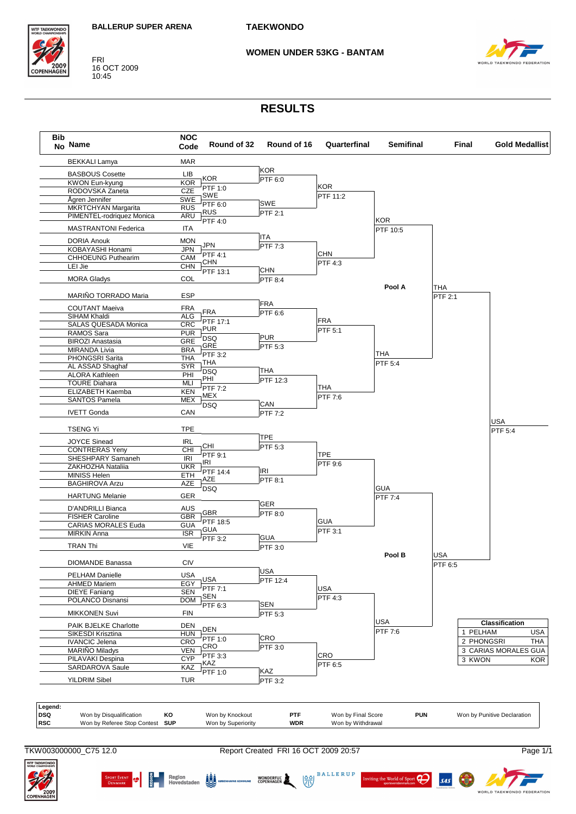FRI<br>16 OCT 2009<br>10:45

**WTF TAEKWOND** 

COPENHAGE





# **WOMEN UNDER 53KG - BANTAM**

# **RESULTS**

| <b>Bib</b><br>No Name           | <b>NOC</b><br>Code      | Round of 32        | Round of 16    | Quarterfinal       | <b>Semifinal</b> |         | Final      | <b>Gold Medallist</b>       |
|---------------------------------|-------------------------|--------------------|----------------|--------------------|------------------|---------|------------|-----------------------------|
| <b>BEKKALI Lamya</b>            | <b>MAR</b>              |                    |                |                    |                  |         |            |                             |
| <b>BASBOUS Cosette</b>          | LIB                     |                    | <b>KOR</b>     |                    |                  |         |            |                             |
| <b>KWON Eun-kyung</b>           | <b>KOR</b>              | <b>KOR</b>         | PTF 6:0        |                    |                  |         |            |                             |
| RODOVSKA Zaneta                 | <b>CZE</b>              | PTF 1:0            |                | <b>KOR</b>         |                  |         |            |                             |
| Ågren Jennifer                  | SWE                     | SWE                |                | PTF 11:2           |                  |         |            |                             |
| <b>MKRTCHYAN Margarita</b>      | <b>RUS</b>              | PTF 6:0            | SWE            |                    |                  |         |            |                             |
| PIMENTEL-rodriquez Monica       | ARU                     | <b>RUS</b>         | <b>PTF 2:1</b> |                    |                  |         |            |                             |
| <b>MASTRANTONI Federica</b>     | <b>ITA</b>              | PTF 4:0            |                |                    | <b>KOR</b>       |         |            |                             |
|                                 |                         |                    | <b>ITA</b>     |                    | PTF 10:5         |         |            |                             |
| <b>DORIA Anouk</b>              | <b>MON</b>              | <b>JPN</b>         | PTF 7:3        |                    |                  |         |            |                             |
| KOBAYASHI Honami                | <b>JPN</b>              | PTF 4:1            |                | <b>CHN</b>         |                  |         |            |                             |
| <b>CHHOEUNG Puthearim</b>       | CAM                     | <b>CHN</b>         |                | PTF 4:3            |                  |         |            |                             |
| LEI Jie                         | <b>CHN</b>              | PTF 13:1           | <b>CHN</b>     |                    |                  |         |            |                             |
| <b>MORA Gladys</b>              | COL                     |                    | PTF 8:4        |                    |                  |         |            |                             |
|                                 |                         |                    |                |                    | Pool A           | THA     |            |                             |
| MARIÑO TORRADO Maria            | <b>ESP</b>              |                    |                |                    |                  | PTF 2:1 |            |                             |
|                                 |                         |                    | <b>FRA</b>     |                    |                  |         |            |                             |
| <b>COUTANT Maeiva</b>           | <b>FRA</b>              | <b>FRA</b>         | PTF 6:6        |                    |                  |         |            |                             |
| SIHAM Khaldi                    | <b>ALG</b>              | PTF 17:1           |                | <b>FRA</b>         |                  |         |            |                             |
| SALAS QUESADA Monica            | <b>CRC</b>              | <b>PUR</b>         |                | PTF 5:1            |                  |         |            |                             |
| RAMOS Sara                      | <b>PUR</b>              | <b>DSQ</b>         | <b>PUR</b>     |                    |                  |         |            |                             |
| <b>BIROZI Anastasia</b>         | <b>GRE</b>              | GRE                | PTF 5:3        |                    |                  |         |            |                             |
| <b>MIRANDA Livia</b>            | <b>BRA</b>              | PTF 3:2            |                |                    | <b>THA</b>       |         |            |                             |
| PHONGSRI Sarita                 | <b>THA</b>              | THA                |                |                    | PTF 5:4          |         |            |                             |
| AL ASSAD Shaghaf                | <b>SYR</b>              | <b>DSQ</b>         | THA            |                    |                  |         |            |                             |
| <b>ALORA Kathleen</b>           | PHI                     | PHI                | PTF 12:3       |                    |                  |         |            |                             |
| <b>TOURE Diahara</b>            | <b>MLI</b>              | <b>PTF 7:2</b>     |                | <b>THA</b>         |                  |         |            |                             |
| ELIZABETH Kaemba                | <b>KEN</b>              | MEX                |                | PTF 7:6            |                  |         |            |                             |
| <b>SANTOS Pamela</b>            | <b>MEX</b>              | <b>DSQ</b>         | CAN            |                    |                  |         |            |                             |
| <b>IVETT Gonda</b>              | CAN                     |                    | PTF 7:2        |                    |                  |         |            |                             |
|                                 | <b>TPE</b>              |                    |                |                    |                  |         |            | <b>USA</b>                  |
| <b>TSENG Yi</b>                 |                         |                    | <b>TPE</b>     |                    |                  |         |            | PTF 5:4                     |
| <b>JOYCE Sinead</b>             | <b>IRL</b>              | CHI                | PTF 5:3        |                    |                  |         |            |                             |
| <b>CONTRERAS Yeny</b>           | CHI                     | PTF 9:1            |                | <b>TPE</b>         |                  |         |            |                             |
| SHESHPARY Samaneh               | <b>IRI</b>              | IRI                |                | PTF 9:6            |                  |         |            |                             |
| ZAKHOZHA Nataliia               | <b>UKR</b>              | PTF 14:4           | IRI            |                    |                  |         |            |                             |
| MINISS Helen                    | <b>ETH</b>              | AZE                | PTF 8:1        |                    |                  |         |            |                             |
| <b>BAGHIROVA Arzu</b>           | AZE                     | <b>DSQ</b>         |                |                    | <b>GUA</b>       |         |            |                             |
| <b>HARTUNG Melanie</b>          | GER                     |                    |                |                    | PTF 7:4          |         |            |                             |
| D'ANDRILLI Bianca               | AUS                     |                    | <b>GER</b>     |                    |                  |         |            |                             |
| <b>FISHER Caroline</b>          | <b>GBR</b>              | GBR                | PTF 8:0        |                    |                  |         |            |                             |
| <b>CARIAS MORALES Euda</b>      | <b>GUA</b>              | PTF 18:5           |                | <b>GUA</b>         |                  |         |            |                             |
| <b>MIRKIN Anna</b>              | $\overline{\text{ISR}}$ | GUA                |                | PTF 3:1            |                  |         |            |                             |
|                                 |                         | PTF 3:2            | <b>GUA</b>     |                    |                  |         |            |                             |
| <b>TRAN Thi</b>                 | <b>VIE</b>              |                    | PTF 3:0        |                    |                  |         |            |                             |
| <b>DIOMANDE Banassa</b>         | <b>CIV</b>              |                    |                |                    | Pool B           | USA     |            |                             |
|                                 |                         |                    | <b>USA</b>     |                    |                  | PTF 6:5 |            |                             |
| PELHAM Danielle                 | <b>USA</b>              | <b>USA</b>         | PTF 12:4       |                    |                  |         |            |                             |
| <b>AHMED Mariem</b>             | EGY                     | PTF 7:1            |                | <b>USA</b>         |                  |         |            |                             |
| <b>DIEYE Faniang</b>            | <b>SEN</b>              | SEN                |                | PTF 4:3            |                  |         |            |                             |
| POLANCO Disnansi                | <b>DOM</b>              | PTF 6:3            | <b>SEN</b>     |                    |                  |         |            |                             |
| <b>MIKKONEN Suvi</b>            | <b>FIN</b>              |                    | PTF 5:3        |                    |                  |         |            |                             |
| PAIK BJELKE Charlotte           | <b>DEN</b>              |                    |                |                    | <b>USA</b>       |         |            | Classification              |
| SIKESDI Krisztina               | <b>HUN</b>              | <b>DEN</b>         |                |                    | PTF 7:6          |         | 1 PELHAM   |                             |
| <b>IVANCIC Jelena</b>           | <b>CRO</b>              | PTF 1:0            | CRO            |                    |                  |         | 2 PHONGSRI |                             |
| <b>MARIÑO Miladys</b>           | <b>VEN</b>              | CRO                | PTF 3:0        |                    |                  |         |            | 3 CARIAS MORALES GUA        |
| PILAVAKI Despina                | <b>CYP</b>              | PTF 3:3            |                | CRO                |                  |         | 3 KWON     |                             |
| SARDAROVA Saule                 | KAZ                     | KAZ                |                | PTF 6:5            |                  |         |            |                             |
| <b>YILDRIM Sibel</b>            | <b>TUR</b>              | PTF 1:0            | KAZ<br>PTF 3:2 |                    |                  |         |            |                             |
|                                 |                         |                    |                |                    |                  |         |            |                             |
| Legend:                         |                         |                    |                |                    |                  |         |            |                             |
| Won by Disqualification         | KO                      | Won by Knockout    | PTF            | Won by Final Score | <b>PUN</b>       |         |            | Won by Punitive Declaration |
|                                 |                         | Won by Superiority | <b>WDR</b>     | Won by Withdrawal  |                  |         |            |                             |
| Won by Referee Stop Contest SUP |                         |                    |                |                    |                  |         |            |                             |

SAS



 $\begin{array}{|c|c|c|c|c|}\n \hline\n \text{Sport EVENT} & \text{S} & \text{Region} & \text{if } \text{S} \\
\hline\n \text{DernuARK} & \text{or} & \text{Hoyedstaden} & \text{SUS} \\
\hline\n \text{or} & \text{Hoyedstaden} & \text{SUS} & \text{coperhuMNS KOPENHAGEN} & \text{SOPENHAGEN} & \text{SUS} \\
\hline\n \end{array}$ 



**RATION**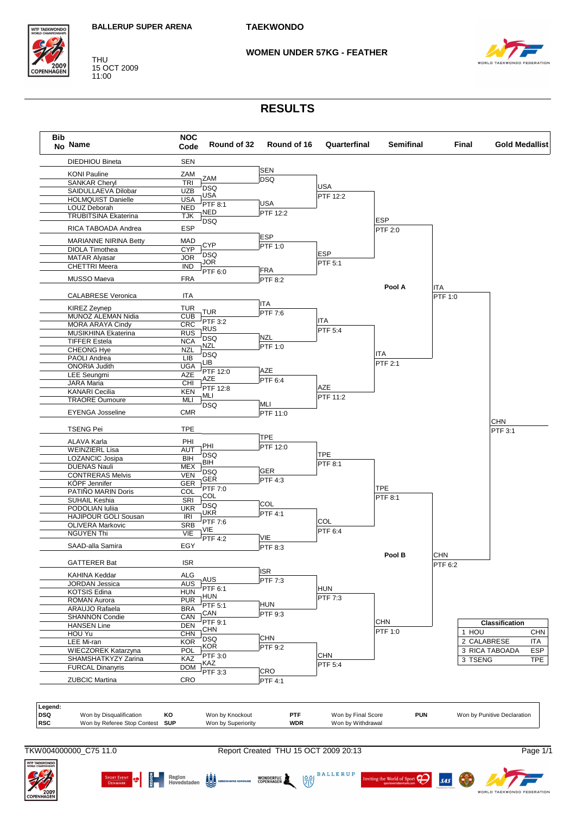#### **WOMEN UNDER 57KG - FEATHER**



15 OCT 2009<br>11:00

**THU** 

**VTF TAEKWOND** 

COPENHAG

## **RESULTS**

| No Name                                          | <b>NOC</b><br>Code | Round of 32       | Round of 16                   | Quarterfinal | <b>Semifinal</b> |            | Final                 | <b>Gold Medallist</b> |
|--------------------------------------------------|--------------------|-------------------|-------------------------------|--------------|------------------|------------|-----------------------|-----------------------|
| <b>DIEDHIOU Bineta</b>                           | <b>SEN</b>         |                   |                               |              |                  |            |                       |                       |
| <b>KONI Pauline</b>                              | ZAM                |                   | <b>SEN</b>                    |              |                  |            |                       |                       |
| <b>SANKAR Cheryl</b>                             | <b>TRI</b>         | ZAM               | <b>DSQ</b>                    |              |                  |            |                       |                       |
| SAIDULLAEVA Dilobar                              | <b>UZB</b>         | <b>DSQ</b>        |                               | <b>USA</b>   |                  |            |                       |                       |
| <b>HOLMQUIST Danielle</b>                        | <b>USA</b>         | <b>USA</b>        |                               | PTF 12:2     |                  |            |                       |                       |
| LOUZ Deborah                                     | <b>NED</b>         | PTF 8:1           | <b>USA</b>                    |              |                  |            |                       |                       |
| <b>TRUBITSINA Ekaterina</b>                      | <b>TJK</b>         | NED               | PTF 12:2                      |              |                  |            |                       |                       |
|                                                  |                    | <b>DSQ</b>        |                               |              | <b>ESP</b>       |            |                       |                       |
| RICA TABOADA Andrea                              | <b>ESP</b>         |                   |                               |              | PTF 2:0          |            |                       |                       |
| <b>MARIANNE NIRINA Betty</b>                     | <b>MAD</b>         | <b>CYP</b>        | <b>ESP</b><br>PTF 1:0         |              |                  |            |                       |                       |
| <b>DIOLA Timothea</b>                            | <b>CYP</b>         |                   |                               | <b>ESP</b>   |                  |            |                       |                       |
| <b>MATAR Alyasar</b>                             | <b>JOR</b>         | <b>DSQ</b><br>JOR |                               |              |                  |            |                       |                       |
| <b>CHETTRI</b> Meera                             | <b>IND</b>         |                   | <b>FRA</b>                    | PTF 5:1      |                  |            |                       |                       |
| MUSSO Maeva                                      | FRA                | PTF 6:0           | <b>PTF 8:2</b>                |              |                  |            |                       |                       |
|                                                  |                    |                   |                               |              | Pool A           | ITA        |                       |                       |
| <b>CALABRESE Veronica</b>                        | ITA                |                   |                               |              |                  | PTF 1:0    |                       |                       |
| <b>KIREZ Zeynep</b>                              | TUR                |                   | <b>ITA</b>                    |              |                  |            |                       |                       |
| MUNOZ ALEMAN Nidia                               | <b>CUB</b>         | <b>TUR</b>        | $\overline{P}$ TF 7:6         |              |                  |            |                       |                       |
| <b>MORA ARAYA Cindy</b>                          | <b>CRC</b>         | PTF 3:2           |                               | ITA          |                  |            |                       |                       |
|                                                  | <b>RUS</b>         | <b>RUS</b>        |                               | PTF 5:4      |                  |            |                       |                       |
| MUSIKHINA Ekaterina<br><b>TIFFER Estela</b>      | <b>NCA</b>         | <b>DSQ</b>        | <b>NZL</b>                    |              |                  |            |                       |                       |
|                                                  | <b>NZL</b>         | NZL               | PTF 1:0                       |              |                  |            |                       |                       |
| <b>CHEONG Hye</b>                                |                    | <b>DSQ</b>        |                               |              | ITA              |            |                       |                       |
| PAOLI Andrea<br><b>ONORIA Judith</b>             | LIB                | LIB               |                               |              | PTF 2:1          |            |                       |                       |
|                                                  | <b>UGA</b>         | PTF 12:0          | <b>AZE</b>                    |              |                  |            |                       |                       |
| <b>LEE Seungmi</b>                               | AZE                | AZE               | PTF 6:4                       |              |                  |            |                       |                       |
| <b>JARA Maria</b>                                | CHI                | PTF 12:8          |                               | AZE          |                  |            |                       |                       |
| <b>KANARI Cecilia</b>                            | <b>KEN</b>         | MLI               |                               | PTF 11:2     |                  |            |                       |                       |
| <b>TRAORE Oumoure</b>                            | MLI                | <b>DSQ</b>        | MLI                           |              |                  |            |                       |                       |
| <b>EYENGA Josseline</b>                          | <b>CMR</b>         |                   | PTF 11:0                      |              |                  |            |                       |                       |
| <b>TSENG Pei</b>                                 | TPE                |                   |                               |              |                  |            | <b>CHN</b><br>PTF 3:1 |                       |
|                                                  |                    |                   | <b>TPE</b>                    |              |                  |            |                       |                       |
| ALAVA Karla                                      | PHI                | PHI               | PTF 12:0                      |              |                  |            |                       |                       |
| <b>WEINZIERL Lisa</b>                            | AUT                | <b>DSQ</b>        |                               | <b>TPE</b>   |                  |            |                       |                       |
| LOZANCIC Josipa                                  | BIH                | BIH               |                               | PTF 8:1      |                  |            |                       |                       |
| <b>DUENAS Nauli</b>                              | <b>MEX</b>         | <b>DSQ</b>        | <b>GER</b>                    |              |                  |            |                       |                       |
| <b>CONTRERAS Melvis</b>                          | <b>VEN</b>         | GER               | PTF 4:3                       |              |                  |            |                       |                       |
| KÖPF Jennifer                                    | <b>GER</b>         | PTF 7:0           |                               |              | <b>TPE</b>       |            |                       |                       |
| PATIÑO MARIN Doris                               | COL                | COL               |                               |              | PTF 8:1          |            |                       |                       |
| SUHAIL Keshia                                    | SRI                | <b>DSQ</b>        | COL                           |              |                  |            |                       |                       |
| PODOLIAN Iulija                                  | <b>UKR</b>         | UKR               | PTF 4:1                       |              |                  |            |                       |                       |
| <b>HAJIPOUR GOLI Sousan</b>                      | IRI                | PTF 7:6           |                               | COL          |                  |            |                       |                       |
| OLIVERA Markovic                                 | <b>SRB</b>         | VIE               |                               | PTF 6:4      |                  |            |                       |                       |
| <b>NGUYEN Thi</b>                                | VIE                | <b>PTF 4:2</b>    | VIE                           |              |                  |            |                       |                       |
| SAAD-alla Samira                                 | EGY                |                   | <b>PTF 8:3</b>                |              |                  |            |                       |                       |
|                                                  |                    |                   |                               |              | Pool B           | <b>CHN</b> |                       |                       |
| <b>GATTERER Bat</b>                              | <b>ISR</b>         |                   |                               |              |                  | PTF 6:2    |                       |                       |
| KAHINA Keddar                                    | ALG                | AUS               | <b>ISR</b><br>PTF 7:3         |              |                  |            |                       |                       |
| JORDAN Jessica                                   | <b>AUS</b>         |                   |                               |              |                  |            |                       |                       |
| <b>KOTSIS Edina</b>                              | <b>HUN</b>         | PTF 6:1           |                               | <b>HUN</b>   |                  |            |                       |                       |
| <b>ROMAN Aurora</b>                              | <b>PUR</b>         | <b>HUN</b>        |                               | PTF 7:3      |                  |            |                       |                       |
| ARAUJO Rafaela                                   | <b>BRA</b>         | PTF 5:1           | <b>HUN</b>                    |              |                  |            |                       |                       |
| <b>SHANNON Condie</b>                            | CAN                | CAN               | PTF 9:3                       |              |                  |            |                       |                       |
| <b>HANSEN Line</b>                               | <b>DEN</b>         | PTF 9:1           |                               |              | <b>CHN</b>       |            | Classification        |                       |
| HOU Yu                                           | <b>CHN</b>         | <b>CHN</b>        |                               |              | PTF 1:0          |            | 1 HOU                 |                       |
| LEE Mi-ran                                       | <b>KOR</b>         | <b>DSQ</b>        | <b>CHN</b>                    |              |                  |            | 2 CALABRESE           | <b>ITA</b>            |
| WIECZOREK Katarzyna                              | POL                | KOR               | $\overline{\mathsf{PTF}}$ 9:2 |              |                  |            | 3 RICA TABOADA        |                       |
| SHAMSHATKYZY Zarina                              | KAZ                | PTF 3:0           |                               | <b>CHN</b>   |                  |            | 3 TSENG               | <b>TPE</b>            |
|                                                  | <b>DOM</b>         | KAZ               |                               | PTF 5:4      |                  |            |                       |                       |
|                                                  |                    | PTF 3:3           | <b>CRO</b>                    |              |                  |            |                       |                       |
| <b>FURCAL Dinanyris</b><br><b>ZUBCIC Martina</b> | CRO                |                   | PTF 4:1                       |              |                  |            |                       |                       |



**WTF TAEKWOND** 

Report Created THU 15 OCT 2009 20:13





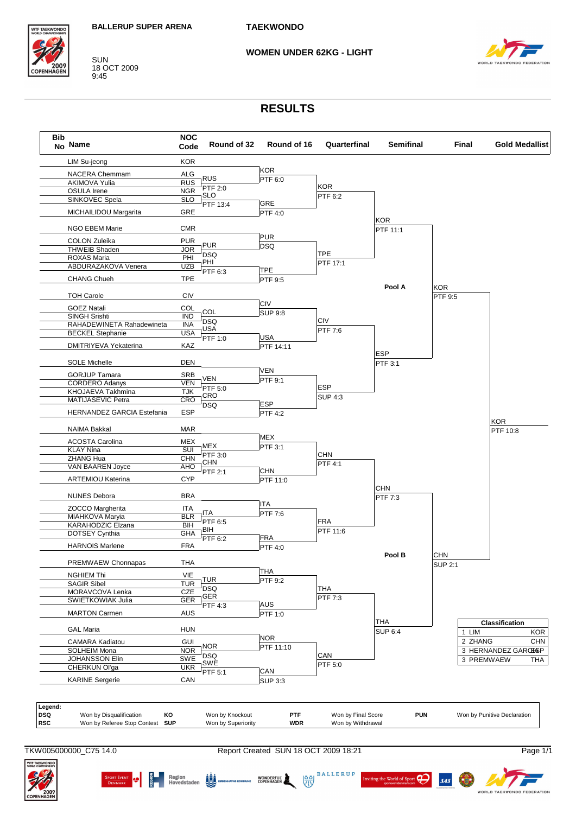

**SUN** 18 OCT 2009  $9:45$ 

#### **WOMEN UNDER 62KG - LIGHT**



#### **RESULTS**



TKW005000000 C75 14.0

SPORT EVENT **(CONTROL) DE Region**<br>DENMARK **(CONTROL)** Hovedstaden **DEL** KOREN

Report Created SUN 18 OCT 2009 18:21

WONDERFUL

 $\frac{88}{32}$ 

**BALLERUP** 

ting the World of Sport

 $\boldsymbol{\beta}$ 

 $s4s$ 

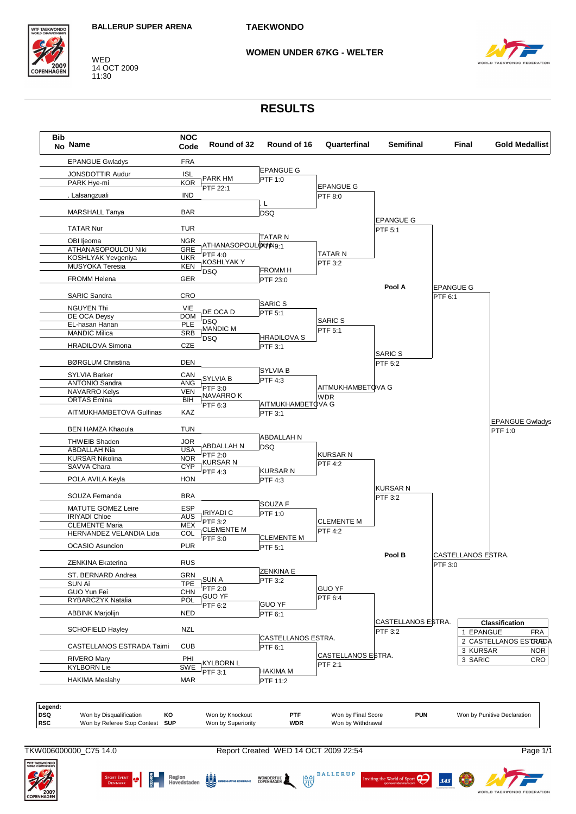

14 OCT 2009 11:30

#### **WOMEN UNDER 67KG - WELTER**



## **RESULTS**



**BALLERUP** 

ണ

 $s\bar{a}s$ 

 $\left(\frac{\delta}{\delta N}\right)$ 

WONDERFUL WORKEN



SPORT EVENT **19 6 Region** Region **19 Key Region**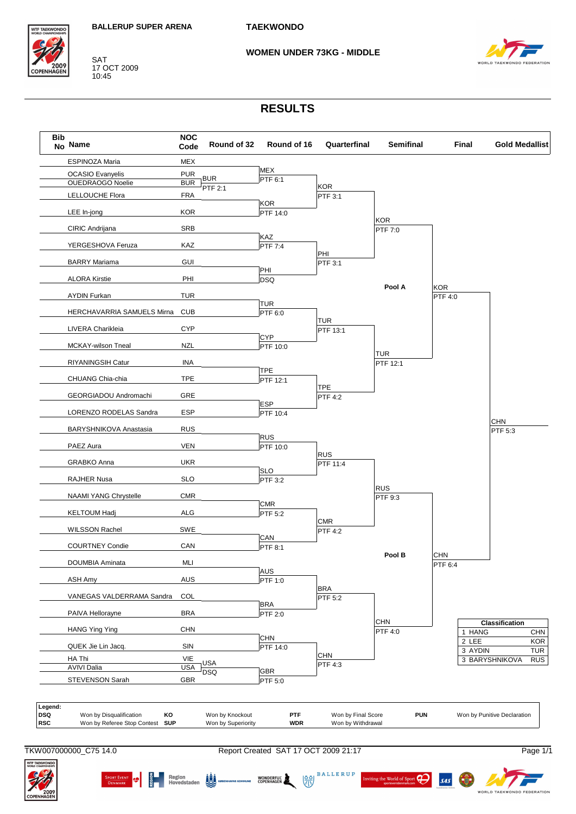

SAT 17 OCT 2009 10:45

#### **WOMEN UNDER 73KG - MIDDLE**



## **RESULTS**



**BALLERUP** 

ng the World of Sport

 $\sigma$ 

**SAS** 

 $\frac{88}{32}$ 

WONDERFUL<br>COPENHAGEN



 $\frac{2}{9}$  Region  $\frac{1}{2}$